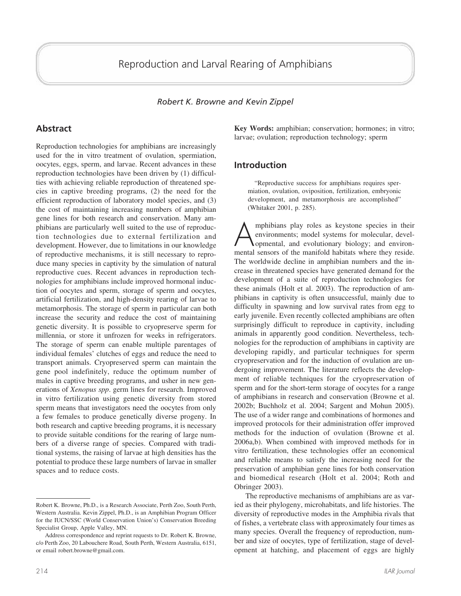# Reproduction and Larval Rearing of Amphibians

*Robert K. Browne and Kevin Zippel*

### **Abstract**

Reproduction technologies for amphibians are increasingly used for the in vitro treatment of ovulation, spermiation, oocytes, eggs, sperm, and larvae. Recent advances in these reproduction technologies have been driven by (1) difficulties with achieving reliable reproduction of threatened species in captive breeding programs, (2) the need for the efficient reproduction of laboratory model species, and (3) the cost of maintaining increasing numbers of amphibian gene lines for both research and conservation. Many amphibians are particularly well suited to the use of reproduction technologies due to external fertilization and development. However, due to limitations in our knowledge of reproductive mechanisms, it is still necessary to reproduce many species in captivity by the simulation of natural reproductive cues. Recent advances in reproduction technologies for amphibians include improved hormonal induction of oocytes and sperm, storage of sperm and oocytes, artificial fertilization, and high-density rearing of larvae to metamorphosis. The storage of sperm in particular can both increase the security and reduce the cost of maintaining genetic diversity. It is possible to cryopreserve sperm for millennia, or store it unfrozen for weeks in refrigerators. The storage of sperm can enable multiple parentages of individual females' clutches of eggs and reduce the need to transport animals. Cryopreserved sperm can maintain the gene pool indefinitely, reduce the optimum number of males in captive breeding programs, and usher in new generations of *Xenopus spp*. germ lines for research. Improved in vitro fertilization using genetic diversity from stored sperm means that investigators need the oocytes from only a few females to produce genetically diverse progeny. In both research and captive breeding programs, it is necessary to provide suitable conditions for the rearing of large numbers of a diverse range of species. Compared with traditional systems, the raising of larvae at high densities has the potential to produce these large numbers of larvae in smaller spaces and to reduce costs.

**Key Words:** amphibian; conservation; hormones; in vitro; larvae; ovulation; reproduction technology; sperm

### **Introduction**

"Reproductive success for amphibians requires spermiation, ovulation, oviposition, fertilization, embryonic development, and metamorphosis are accomplished" (Whitaker 2001, p. 285).

Amphibians play roles as keystone species in their<br>environments; model systems for molecular, devel-<br>opmental, and evolutionary biology; and environ-<br>mental sensors of the manifold habitats where they reside environments; model systems for molecular, develmental sensors of the manifold habitats where they reside. The worldwide decline in amphibian numbers and the increase in threatened species have generated demand for the development of a suite of reproduction technologies for these animals (Holt et al. 2003). The reproduction of amphibians in captivity is often unsuccessful, mainly due to difficulty in spawning and low survival rates from egg to early juvenile. Even recently collected amphibians are often surprisingly difficult to reproduce in captivity, including animals in apparently good condition. Nevertheless, technologies for the reproduction of amphibians in captivity are developing rapidly, and particular techniques for sperm cryopreservation and for the induction of ovulation are undergoing improvement. The literature reflects the development of reliable techniques for the cryopreservation of sperm and for the short-term storage of oocytes for a range of amphibians in research and conservation (Browne et al. 2002b; Buchholz et al. 2004; Sargent and Mohun 2005). The use of a wider range and combinations of hormones and improved protocols for their administration offer improved methods for the induction of ovulation (Browne et al. 2006a,b). When combined with improved methods for in vitro fertilization, these technologies offer an economical and reliable means to satisfy the increasing need for the preservation of amphibian gene lines for both conservation and biomedical research (Holt et al. 2004; Roth and Obringer 2003).

The reproductive mechanisms of amphibians are as varied as their phylogeny, microhabitats, and life histories. The diversity of reproductive modes in the Amphibia rivals that of fishes, a vertebrate class with approximately four times as many species. Overall the frequency of reproduction, number and size of oocytes, type of fertilization, stage of development at hatching, and placement of eggs are highly

Robert K. Browne, Ph.D., is a Research Associate, Perth Zoo, South Perth, Western Australia. Kevin Zippel, Ph.D., is an Amphibian Program Officer for the IUCN/SSC (World Conservation Union's) Conservation Breeding Specialist Group, Apple Valley, MN.

Address correspondence and reprint requests to Dr. Robert K. Browne, c/o Perth Zoo, 20 Labouchere Road, South Perth, Western Australia, 6151, or email robert.browne@gmail.com.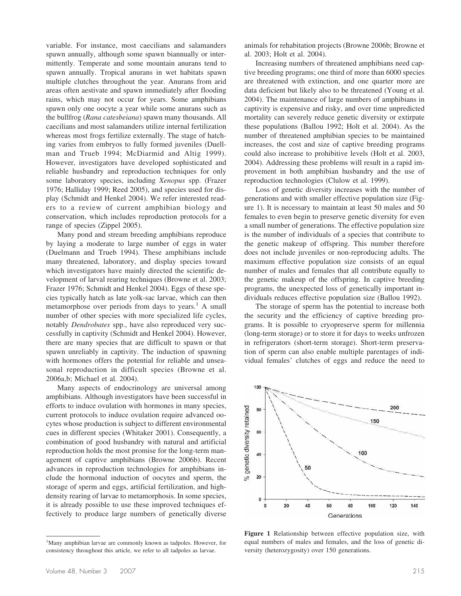variable. For instance, most caecilians and salamanders spawn annually, although some spawn biannually or intermittently. Temperate and some mountain anurans tend to spawn annually. Tropical anurans in wet habitats spawn multiple clutches throughout the year. Anurans from arid areas often aestivate and spawn immediately after flooding rains, which may not occur for years. Some amphibians spawn only one oocyte a year while some anurans such as the bullfrog (*Rana catesbeiana*) spawn many thousands. All caecilians and most salamanders utilize internal fertilization whereas most frogs fertilize externally. The stage of hatching varies from embryos to fully formed juveniles (Duellman and Trueb 1994; McDiarmid and Altig 1999). However, investigators have developed sophisticated and reliable husbandry and reproduction techniques for only some laboratory species, including *Xenopus* spp. (Frazer 1976; Halliday 1999; Reed 2005), and species used for display (Schmidt and Henkel 2004). We refer interested readers to a review of current amphibian biology and conservation, which includes reproduction protocols for a range of species (Zippel 2005).

Many pond and stream breeding amphibians reproduce by laying a moderate to large number of eggs in water (Duelmann and Trueb 1994). These amphibians include many threatened, laboratory, and display species toward which investigators have mainly directed the scientific development of larval rearing techniques (Browne et al. 2003; Frazer 1976; Schmidt and Henkel 2004). Eggs of these species typically hatch as late yolk-sac larvae, which can then metamorphose over periods from days to years.<sup>1</sup> A small number of other species with more specialized life cycles, notably *Dendrobates* spp., have also reproduced very successfully in captivity (Schmidt and Henkel 2004). However, there are many species that are difficult to spawn or that spawn unreliably in captivity. The induction of spawning with hormones offers the potential for reliable and unseasonal reproduction in difficult species (Browne et al. 2006a,b; Michael et al. 2004).

Many aspects of endocrinology are universal among amphibians. Although investigators have been successful in efforts to induce ovulation with hormones in many species, current protocols to induce ovulation require advanced oocytes whose production is subject to different environmental cues in different species (Whitaker 2001). Consequently, a combination of good husbandry with natural and artificial reproduction holds the most promise for the long-term management of captive amphibians (Browne 2006b). Recent advances in reproduction technologies for amphibians include the hormonal induction of oocytes and sperm, the storage of sperm and eggs, artificial fertilization, and highdensity rearing of larvae to metamorphosis. In some species, it is already possible to use these improved techniques effectively to produce large numbers of genetically diverse

animals for rehabitation projects (Browne 2006b; Browne et al. 2003; Holt et al. 2004).

Increasing numbers of threatened amphibians need captive breeding programs; one third of more than 6000 species are threatened with extinction, and one quarter more are data deficient but likely also to be threatened (Young et al. 2004). The maintenance of large numbers of amphibians in captivity is expensive and risky, and over time unpredicted mortality can severely reduce genetic diversity or extirpate these populations (Ballou 1992; Holt et al. 2004). As the number of threatened amphibian species to be maintained increases, the cost and size of captive breeding programs could also increase to prohibitive levels (Holt et al. 2003, 2004). Addressing these problems will result in a rapid improvement in both amphibian husbandry and the use of reproduction technologies (Clulow et al. 1999).

Loss of genetic diversity increases with the number of generations and with smaller effective population size (Figure 1). It is necessary to maintain at least 50 males and 50 females to even begin to preserve genetic diversity for even a small number of generations. The effective population size is the number of individuals of a species that contribute to the genetic makeup of offspring. This number therefore does not include juveniles or non-reproducing adults. The maximum effective population size consists of an equal number of males and females that all contribute equally to the genetic makeup of the offspring. In captive breeding programs, the unexpected loss of genetically important individuals reduces effective population size (Ballou 1992).

The storage of sperm has the potential to increase both the security and the efficiency of captive breeding programs. It is possible to cryopreserve sperm for millennia (long-term storage) or to store it for days to weeks unfrozen in refrigerators (short-term storage). Short-term preservation of sperm can also enable multiple parentages of individual females' clutches of eggs and reduce the need to



**Figure 1** Relationship between effective population size, with equal numbers of males and females, and the loss of genetic diversity (heterozygosity) over 150 generations.

<sup>&</sup>lt;sup>1</sup>Many amphibian larvae are commonly known as tadpoles. However, for consistency throughout this article, we refer to all tadpoles as larvae.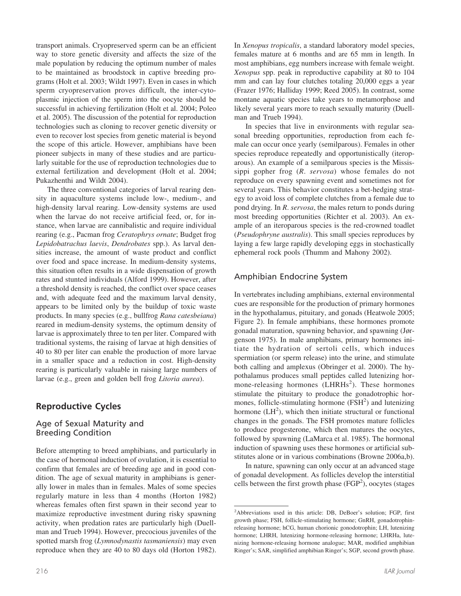transport animals. Cryopreserved sperm can be an efficient way to store genetic diversity and affects the size of the male population by reducing the optimum number of males to be maintained as broodstock in captive breeding programs (Holt et al. 2003; Wildt 1997). Even in cases in which sperm cryopreservation proves difficult, the inter-cytoplasmic injection of the sperm into the oocyte should be successful in achieving fertilization (Holt et al. 2004; Poleo et al. 2005). The discussion of the potential for reproduction technologies such as cloning to recover genetic diversity or even to recover lost species from genetic material is beyond the scope of this article. However, amphibians have been pioneer subjects in many of these studies and are particularly suitable for the use of reproduction technologies due to external fertilization and development (Holt et al. 2004; Pukazhenthi and Wildt 2004).

The three conventional categories of larval rearing density in aquaculture systems include low-, medium-, and high-density larval rearing. Low-density systems are used when the larvae do not receive artificial feed, or, for instance, when larvae are cannibalistic and require individual rearing (e.g., Pacman frog *Ceratophrys ornate*; Budget frog *Lepidobatrachus laevis*, *Dendrobates* spp.). As larval densities increase, the amount of waste product and conflict over food and space increase. In medium-density systems, this situation often results in a wide dispensation of growth rates and stunted individuals (Alford 1999). However, after a threshold density is reached, the conflict over space ceases and, with adequate feed and the maximum larval density, appears to be limited only by the buildup of toxic waste products. In many species (e.g., bullfrog *Rana catesbeiana*) reared in medium-density systems, the optimum density of larvae is approximately three to ten per liter. Compared with traditional systems, the raising of larvae at high densities of 40 to 80 per liter can enable the production of more larvae in a smaller space and a reduction in cost. High-density rearing is particularly valuable in raising large numbers of larvae (e.g., green and golden bell frog *Litoria aurea*).

### **Reproductive Cycles**

### Age of Sexual Maturity and Breeding Condition

Before attempting to breed amphibians, and particularly in the case of hormonal induction of ovulation, it is essential to confirm that females are of breeding age and in good condition. The age of sexual maturity in amphibians is generally lower in males than in females. Males of some species regularly mature in less than 4 months (Horton 1982) whereas females often first spawn in their second year to maximize reproductive investment during risky spawning activity, when predation rates are particularly high (Duellman and Trueb 1994). However, precocious juveniles of the spotted marsh frog (*Lymnodynastis tasmaniensis*) may even reproduce when they are 40 to 80 days old (Horton 1982). In *Xenopus tropicalis*, a standard laboratory model species, females mature at 6 months and are 65 mm in length. In most amphibians, egg numbers increase with female weight. *Xenopus* spp. peak in reproductive capability at 80 to 104 mm and can lay four clutches totaling 20,000 eggs a year (Frazer 1976; Halliday 1999; Reed 2005). In contrast, some montane aquatic species take years to metamorphose and likely several years more to reach sexually maturity (Duellman and Trueb 1994).

In species that live in environments with regular seasonal breeding opportunities, reproduction from each female can occur once yearly (semilparous). Females in other species reproduce repeatedly and opportunistically (iteroparous). An example of a semilparous species is the Mississippi gopher frog (*R*. *servosa*) whose females do not reproduce on every spawning event and sometimes not for several years. This behavior constitutes a bet-hedging strategy to avoid loss of complete clutches from a female due to pond drying. In *R*. *servosa*, the males return to ponds during most breeding opportunities (Richter et al. 2003). An example of an iteroparous species is the red-crowned toadlet (*Pseudophryne australis*). This small species reproduces by laying a few large rapidly developing eggs in stochastically ephemeral rock pools (Thumm and Mahony 2002).

### Amphibian Endocrine System

In vertebrates including amphibians, external environmental cues are responsible for the production of primary hormones in the hypothalamus, pituitary, and gonads (Heatwole 2005; Figure 2). In female amphibians, these hormones promote gonadal maturation, spawning behavior, and spawning (Jørgenson 1975). In male amphibians, primary hormones initiate the hydration of sertoli cells, which induces spermiation (or sperm release) into the urine, and stimulate both calling and amplexus (Obringer et al. 2000). The hypothalamus produces small peptides called lutenizing hormone-releasing hormones  $(LHRHs^2)$ . These hormones stimulate the pituitary to produce the gonadotrophic hormones, follicle-stimulating hormone (FSH<sup>2</sup>) and lutenizing hormone  $(LH<sup>2</sup>)$ , which then initiate structural or functional changes in the gonads. The FSH promotes mature follicles to produce progesterone, which then matures the oocytes, followed by spawning (LaMarca et al. 1985). The hormonal induction of spawning uses these hormones or artificial substitutes alone or in various combinations (Browne 2006a,b).

In nature, spawning can only occur at an advanced stage of gonadal development. As follicles develop the interstitial cells between the first growth phase  $(FGP<sup>2</sup>)$ , oocytes (stages

<sup>&</sup>lt;sup>2</sup>Abbreviations used in this article: DB, DeBoer's solution; FGP, first growth phase; FSH, follicle-stimulating hormone; GnRH, gonadotrophinreleasing hormone; hCG, human chorionic gonodotrophin; LH, lutenizing hormone; LHRH, lutenizing hormone-releasing hormone; LHRHa, lutenizing hormone-releasing hormone analogue; MAR, modified amphibian Ringer's; SAR, simplified amphibian Ringer's; SGP, second growth phase.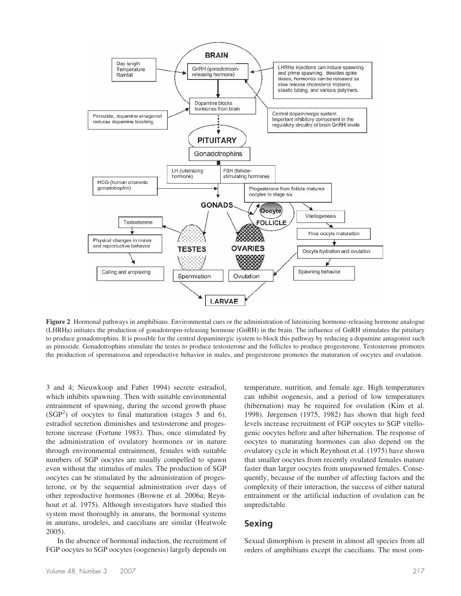

**Figure 2** Hormonal pathways in amphibians. Environmental cues or the administration of luteinizing hormone-releasing hormone analogue (LHRHa) initiates the production of gonadotropin-releasing hormone (GnRH) in the brain. The influence of GnRH stimulates the pituitary to produce gonadotrophins. It is possible for the central dopaminergic system to block this pathway by reducing a dopamine antagonist such as pimozide. Gonadotrophins stimulate the testes to produce testosterone and the follicles to produce progesterone. Testosterone promotes the production of spermatozoa and reproductive behavior in males, and progesterone promotes the maturation of oocytes and ovulation.

3 and 4; Nieuwkoop and Faber 1994) secrete estradiol, which inhibits spawning. Then with suitable environmental entrainment of spawning, during the second growth phase  $(SGP<sup>2</sup>)$  of oocytes to final maturation (stages 5 and 6), estradiol secretion diminishes and testosterone and progesterone increase (Fortune 1983). Thus, once stimulated by the administration of ovulatory hormones or in nature through environmental entrainment, females with suitable numbers of SGP oocytes are usually compelled to spawn even without the stimulus of males. The production of SGP oocytes can be stimulated by the administration of progesterone, or by the sequential administration over days of other reproductive hormones (Browne et al. 2006a; Reynhout et al. 1975). Although investigators have studied this system most thoroughly in anurans, the hormonal systems in anurans, urodeles, and caecilians are similar (Heatwole 2005).

In the absence of hormonal induction, the recruitment of FGP oocytes to SGP oocytes (oogenesis) largely depends on

temperature, nutrition, and female age. High temperatures can inhibit oogenesis, and a period of low temperatures (hibernation) may be required for ovulation (Kim et al. 1998). Jørgensen (1975, 1982) has shown that high feed levels increase recruitment of FGP oocytes to SGP vitellogenic oocytes before and after hibernation. The response of oocytes to maturating hormones can also depend on the ovulatory cycle in which Reynhout et al. (1975) have shown that smaller oocytes from recently ovulated females mature faster than larger oocytes from unspawned females. Consequently, because of the number of affecting factors and the complexity of their interaction, the success of either natural entrainment or the artificial induction of ovulation can be unpredictable.

### **Sexing**

Sexual dimorphism is present in almost all species from all orders of amphibians except the caecilians. The most com-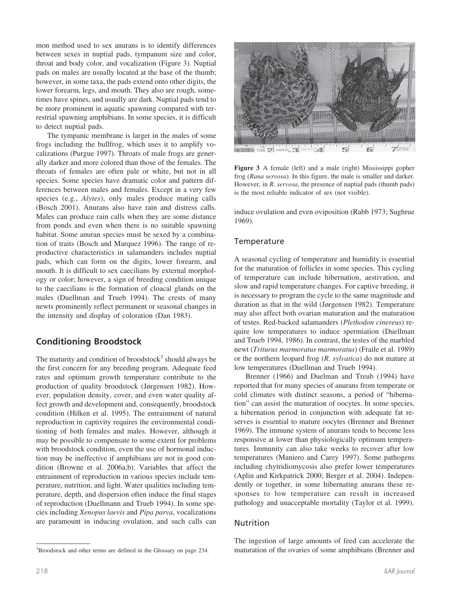mon method used to sex anurans is to identify differences between sexes in nuptial pads, tympanum size and color, throat and body color, and vocalization (Figure 3). Nuptial pads on males are usually located at the base of the thumb; however, in some taxa, the pads extend onto other digits, the lower forearm, legs, and mouth. They also are rough, sometimes have spines, and usually are dark. Nuptial pads tend to be more prominent in aquatic spawning compared with terrestrial spawning amphibians. In some species, it is difficult to detect nuptial pads.

The tympanic membrane is larger in the males of some frogs including the bullfrog, which uses it to amplify vocalizations (Purgue 1997). Throats of male frogs are generally darker and more colored than those of the females. The throats of females are often pale or white, but not in all species. Some species have dramatic color and pattern differences between males and females. Except in a very few species (e.g., *Alytes*), only males produce mating calls (Bosch 2001). Anurans also have rain and distress calls. Males can produce rain calls when they are some distance from ponds and even when there is no suitable spawning habitat. Some anuran species must be sexed by a combination of traits (Bosch and Marquez 1996). The range of reproductive characteristics in salamanders includes nuptial pads, which can form on the digits, lower forearm, and mouth. It is difficult to sex caecilians by external morphology or color; however, a sign of breeding condition unique to the caecilians is the formation of cloacal glands on the males (Duellman and Trueb 1994). The crests of many newts prominently reflect permanent or seasonal changes in the intensity and display of coloration (Dan 1983).

# **Conditioning Broodstock**

The maturity and condition of broodstock<sup>3</sup> should always be the first concern for any breeding program. Adequate feed rates and optimum growth temperature contribute to the production of quality broodstock (Jørgensen 1982). However, population density, cover, and even water quality affect growth and development and, consequently, broodstock condition (Hilken et al. 1995). The entrainment of natural reproduction in captivity requires the environmental conditioning of both females and males. However, although it may be possible to compensate to some extent for problems with broodstock condition, even the use of hormonal induction may be ineffective if amphibians are not in good condition (Browne et al. 2006a,b). Variables that affect the entrainment of reproduction in various species include temperature, nutrition, and light. Water qualities including temperature, depth, and dispersion often induce the final stages of reproduction (Duellmann and Trueb 1994). In some species including *Xenopus laevis* and *Pipa parva*, vocalizations are paramount in inducing ovulation, and such calls can



**Figure 3** A female (left) and a male (right) Mississippi gopher frog (*Rana servosa*). In this figure, the male is smaller and darker. However, in *R*. *servosa*, the presence of nuptial pads (thumb pads) is the most reliable indicator of sex (not visible).

induce ovulation and even oviposition (Rabb 1973; Sughrue 1969).

#### **Temperature**

A seasonal cycling of temperature and humidity is essential for the maturation of follicles in some species. This cycling of temperature can include hibernation, aestivation, and slow and rapid temperature changes. For captive breeding, it is necessary to program the cycle to the same magnitude and duration as that in the wild (Jørgensen 1982). Temperature may also affect both ovarian maturation and the maturation of testes. Red-backed salamanders (*Plethodon cinereus*) require low temperatures to induce spermiation (Duellman and Trueb 1994, 1986). In contrast, the testes of the marbled newt (*Triturus marmoratus marmoratus*) (Fraile et al. 1989) or the northern leopard frog (*R. sylvatica*) do not mature at low temperatures (Duellman and Trueb 1994).

Brenner (1966) and Duelman and Treub (1994) have reported that for many species of anurans from temperate or cold climates with distinct seasons, a period of "hibernation" can assist the maturation of oocytes. In some species, a hibernation period in conjunction with adequate fat reserves is essential to mature oocytes (Brenner and Brenner 1969). The immune system of anurans tends to become less responsive at lower than physiologically optimum temperatures. Immunity can also take weeks to recover after low temperatures (Maniero and Carey 1997). Some pathogens including chytridiomycosis also prefer lower temperatures (Aplin and Kirkpatrick 2000; Berger et al. 2004). Independently or together, in some hibernating anurans these responses to low temperature can result in increased pathology and unacceptable mortality (Taylor et al. 1999).

#### Nutrition

The ingestion of large amounts of feed can accelerate the maturation of the ovaries of some amphibians (Brenner and <sup>3</sup>

<sup>&</sup>lt;sup>3</sup>Broodstock and other terms are defined in the Glossary on page 234.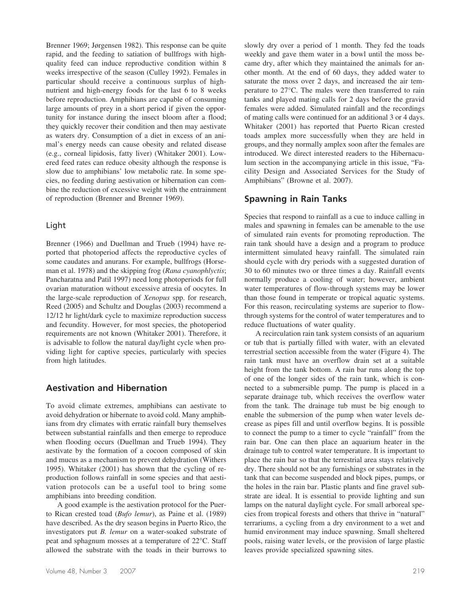Brenner 1969; Jørgensen 1982). This response can be quite rapid, and the feeding to satiation of bullfrogs with highquality feed can induce reproductive condition within 8 weeks irrespective of the season (Culley 1992). Females in particular should receive a continuous surplus of highnutrient and high-energy foods for the last 6 to 8 weeks before reproduction. Amphibians are capable of consuming large amounts of prey in a short period if given the opportunity for instance during the insect bloom after a flood; they quickly recover their condition and then may aestivate as waters dry. Consumption of a diet in excess of an animal's energy needs can cause obesity and related disease (e.g., corneal lipidosis, fatty liver) (Whitaker 2001). Lowered feed rates can reduce obesity although the response is slow due to amphibians' low metabolic rate. In some species, no feeding during aestivation or hibernation can combine the reduction of excessive weight with the entrainment of reproduction (Brenner and Brenner 1969).

### Light

Brenner (1966) and Duellman and Trueb (1994) have reported that photoperiod affects the reproductive cycles of some caudates and anurans. For example, bullfrogs (Horseman et al. 1978) and the skipping frog (*Rana cyanophlyctis*; Pancharatna and Patil 1997) need long photoperiods for full ovarian maturation without excessive atresia of oocytes. In the large-scale reproduction of *Xenopus* spp. for research, Reed (2005) and Schultz and Douglas (2003) recommend a 12/12 hr light/dark cycle to maximize reproduction success and fecundity. However, for most species, the photoperiod requirements are not known (Whitaker 2001). Therefore, it is advisable to follow the natural day/light cycle when providing light for captive species, particularly with species from high latitudes.

# **Aestivation and Hibernation**

To avoid climate extremes, amphibians can aestivate to avoid dehydration or hibernate to avoid cold. Many amphibians from dry climates with erratic rainfall bury themselves between substantial rainfalls and then emerge to reproduce when flooding occurs (Duellman and Trueb 1994). They aestivate by the formation of a cocoon composed of skin and mucus as a mechanism to prevent dehydration (Withers 1995). Whitaker (2001) has shown that the cycling of reproduction follows rainfall in some species and that aestivation protocols can be a useful tool to bring some amphibians into breeding condition.

A good example is the aestivation protocol for the Puerto Rican crested toad (*Bufo lemur*), as Paine et al. (1989) have described. As the dry season begins in Puerto Rico, the investigators put *B. lemur* on a water-soaked substrate of peat and sphagnum mosses at a temperature of 22°C. Staff allowed the substrate with the toads in their burrows to

slowly dry over a period of 1 month. They fed the toads weekly and gave them water in a bowl until the moss became dry, after which they maintained the animals for another month. At the end of 60 days, they added water to saturate the moss over 2 days, and increased the air temperature to 27°C. The males were then transferred to rain tanks and played mating calls for 2 days before the gravid females were added. Simulated rainfall and the recordings of mating calls were continued for an additional 3 or 4 days. Whitaker (2001) has reported that Puerto Rican crested toads amplex more successfully when they are held in groups, and they normally amplex soon after the females are introduced. We direct interested readers to the Hibernaculum section in the accompanying article in this issue, "Facility Design and Associated Services for the Study of Amphibians" (Browne et al. 2007).

# **Spawning in Rain Tanks**

Species that respond to rainfall as a cue to induce calling in males and spawning in females can be amenable to the use of simulated rain events for promoting reproduction. The rain tank should have a design and a program to produce intermittent simulated heavy rainfall. The simulated rain should cycle with dry periods with a suggested duration of 30 to 60 minutes two or three times a day. Rainfall events normally produce a cooling of water; however, ambient water temperatures of flow-through systems may be lower than those found in temperate or tropical aquatic systems. For this reason, recirculating systems are superior to flowthrough systems for the control of water temperatures and to reduce fluctuations of water quality.

A recirculation rain tank system consists of an aquarium or tub that is partially filled with water, with an elevated terrestrial section accessible from the water (Figure 4). The rain tank must have an overflow drain set at a suitable height from the tank bottom. A rain bar runs along the top of one of the longer sides of the rain tank, which is connected to a submersible pump. The pump is placed in a separate drainage tub, which receives the overflow water from the tank. The drainage tub must be big enough to enable the submersion of the pump when water levels decrease as pipes fill and until overflow begins. It is possible to connect the pump to a timer to cycle "rainfall" from the rain bar. One can then place an aquarium heater in the drainage tub to control water temperature. It is important to place the rain bar so that the terrestrial area stays relatively dry. There should not be any furnishings or substrates in the tank that can become suspended and block pipes, pumps, or the holes in the rain bar. Plastic plants and fine gravel substrate are ideal. It is essential to provide lighting and sun lamps on the natural daylight cycle. For small arboreal species from tropical forests and others that thrive in "natural" terrariums, a cycling from a dry environment to a wet and humid environment may induce spawning. Small sheltered pools, raising water levels, or the provision of large plastic leaves provide specialized spawning sites.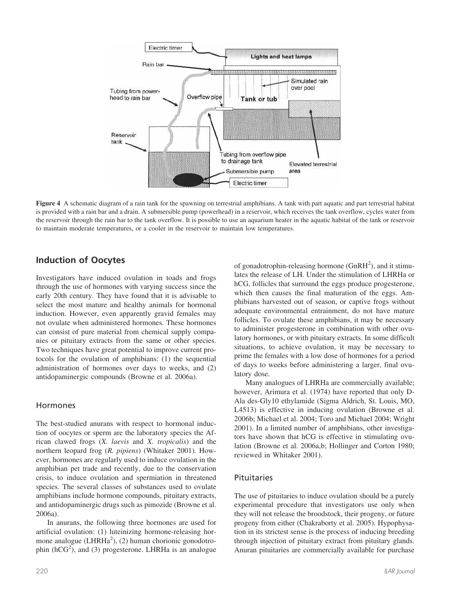

**Figure 4** A schematic diagram of a rain tank for the spawning on terrestrial amphibians. A tank with part aquatic and part terrestrial habitat is provided with a rain bar and a drain. A submersible pump (powerhead) in a reservoir, which receives the tank overflow, cycles water from the reservoir through the rain bar to the tank overflow. It is possible to use an aquarium heater in the aquatic habitat of the tank or reservoir to maintain moderate temperatures, or a cooler in the reservoir to maintain low temperatures.

# **Induction of Oocytes**

Investigators have induced ovulation in toads and frogs through the use of hormones with varying success since the early 20th century. They have found that it is advisable to select the most mature and healthy animals for hormonal induction. However, even apparently gravid females may not ovulate when administered hormones. These hormones can consist of pure material from chemical supply companies or pituitary extracts from the same or other species. Two techniques have great potential to improve current protocols for the ovulation of amphibians: (1) the sequential administration of hormones over days to weeks, and (2) antidopaminergic compounds (Browne et al. 2006a).

#### Hormones

The best-studied anurans with respect to hormonal induction of oocytes or sperm are the laboratory species the African clawed frogs (*X. laevis* and *X. tropicalis*) and the northern leopard frog (*R. pipiens*) (Whitaker 2001). However, hormones are regularly used to induce ovulation in the amphibian pet trade and recently, due to the conservation crisis, to induce ovulation and spermiation in threatened species. The several classes of substances used to ovulate amphibians include hormone compounds, pituitary extracts, and antidopaminergic drugs such as pimozide (Browne et al. 2006a).

In anurans, the following three hormones are used for artificial ovulation: (1) luteinizing hormone-releasing hormone analogue (LHRHa<sup>2</sup>), (2) human chorionic gonodotrophin ( $hCG^2$ ), and (3) progesterone. LHRHa is an analogue

of gonadotrophin-releasing hormone  $(GnRH<sup>2</sup>)$ , and it stimulates the release of LH. Under the stimulation of LHRHa or hCG, follicles that surround the eggs produce progesterone, which then causes the final maturation of the eggs. Amphibians harvested out of season, or captive frogs without adequate environmental entrainment, do not have mature follicles. To ovulate these amphibians, it may be necessary to administer progesterone in combination with other ovulatory hormones, or with pituitary extracts. In some difficult situations, to achieve ovulation, it may be necessary to prime the females with a low dose of hormones for a period of days to weeks before administering a larger, final ovulatory dose.

Many analogues of LHRHa are commercially available; however, Arimura et al. (1974) have reported that only D-Ala des-Gly10 ethylamide (Sigma Aldrich, St. Louis, MO, L4513) is effective in inducing ovulation (Browne et al. 2006b; Michael et al. 2004; Toro and Michael 2004; Wright 2001). In a limited number of amphibians, other investigators have shown that hCG is effective in stimulating ovulation (Browne et al. 2006a,b; Hollinger and Corton 1980; reviewed in Whitaker 2001).

### Pituitaries

The use of pituitaries to induce ovulation should be a purely experimental procedure that investigators use only when they will not release the broodstock, their progeny, or future progeny from either (Chakraborty et al. 2005). Hypophysation in its strictest sense is the process of inducing breeding through injection of pituitary extract from pituitary glands. Anuran pituitaries are commercially available for purchase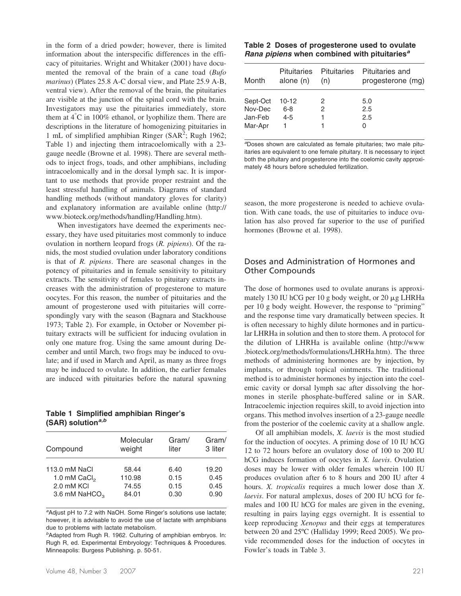in the form of a dried powder; however, there is limited information about the interspecific differences in the efficacy of pituitaries. Wright and Whitaker (2001) have documented the removal of the brain of a cane toad (*Bufo marinus*) (Plates 25.8 A-C dorsal view, and Plate 25.9 A-B, ventral view). After the removal of the brain, the pituitaries are visible at the junction of the spinal cord with the brain. Investigators may use the pituitaries immediately, store them at 4° C in 100% ethanol, or lyophilize them. There are descriptions in the literature of homogenizing pituitaries in 1 mL of simplified amphibian Ringer ( $SAR^2$ ; Rugh 1962; Table 1) and injecting them intracoelomically with a 23 gauge needle (Browne et al. 1998). There are several methods to inject frogs, toads, and other amphibians, including intracoelomically and in the dorsal lymph sac. It is important to use methods that provide proper restraint and the least stressful handling of animals. Diagrams of standard handling methods (without mandatory gloves for clarity) and explanatory information are available online (http:// www.bioteck.org/methods/handling/Handling.htm).

When investigators have deemed the experiments necessary, they have used pituitaries most commonly to induce ovulation in northern leopard frogs (*R. pipiens*). Of the ranids, the most studied ovulation under laboratory conditions is that of *R. pipiens*. There are seasonal changes in the potency of pituitaries and in female sensitivity to pituitary extracts. The sensitivity of females to pituitary extracts increases with the administration of progesterone to mature oocytes. For this reason, the number of pituitaries and the amount of progesterone used with pituitaries will correspondingly vary with the season (Bagnara and Stackhouse 1973; Table 2). For example, in October or November pituitary extracts will be sufficient for inducing ovulation in only one mature frog. Using the same amount during December and until March, two frogs may be induced to ovulate; and if used in March and April, as many as three frogs may be induced to ovulate. In addition, the earlier females are induced with pituitaries before the natural spawning

#### **Table 1 Simplified amphibian Ringer's (SAR) solution***a,b*

| Compound                  | Molecular<br>weight | Gram/<br>liter | Gram/<br>3 liter |
|---------------------------|---------------------|----------------|------------------|
| 113.0 mM NaCl             | 58.44               | 6.40           | 19.20            |
| 1.0 mM $CaCl2$            | 110.98              | 0.15           | 0.45             |
| 2.0 mM KCI                | 74.55               | 0.15           | 0.45             |
| 3.6 mM NaHCO <sub>3</sub> | 84.01               | 0.30           | 0.90             |
|                           |                     |                |                  |

*a* Adjust pH to 7.2 with NaOH. Some Ringer's solutions use lactate; however, it is advisable to avoid the use of lactate with amphibians due to problems with lactate metabolism.

*b* Adapted from Rugh R. 1962. Culturing of amphibian embryos. In: Rugh R, ed. Experimental Embryology: Techniques & Procedures. Minneapolis: Burgess Publishing. p. 50-51.

#### **Table 2 Doses of progesterone used to ovulate** *Rana pipiens* **when combined with pituitaries***<sup>a</sup>*

| Month                                     | <b>Pituitaries</b>        | Pituitaries      | Pituitaries and   |
|-------------------------------------------|---------------------------|------------------|-------------------|
|                                           | alone (n)                 | (n)              | progesterone (mg) |
| Sept-Oct<br>Nov-Dec<br>Jan-Feb<br>Mar-Apr | 10-12<br>$6-8$<br>$4 - 5$ | 2<br>2<br>1<br>1 | 5.0<br>2.5<br>2.5 |

*a* Doses shown are calculated as female pituitaries; two male pituitaries are equivalent to one female pituitary. It is necessary to inject both the pituitary and progesterone into the coelomic cavity approximately 48 hours before scheduled fertilization.

season, the more progesterone is needed to achieve ovulation. With cane toads, the use of pituitaries to induce ovulation has also proved far superior to the use of purified hormones (Browne et al. 1998).

#### Doses and Administration of Hormones and Other Compounds

The dose of hormones used to ovulate anurans is approximately 130 IU hCG per 10 g body weight, or 20  $\mu$ g LHRHa per 10 g body weight. However, the response to "priming" and the response time vary dramatically between species. It is often necessary to highly dilute hormones and in particular LHRHa in solution and then to store them. A protocol for the dilution of LHRHa is available online (http://www .bioteck.org/methods/formulations/LHRHa.htm). The three methods of administering hormones are by injection, by implants, or through topical ointments. The traditional method is to administer hormones by injection into the coelemic cavity or dorsal lymph sac after dissolving the hormones in sterile phosphate-buffered saline or in SAR. Intracoelemic injection requires skill, to avoid injection into organs. This method involves insertion of a 23-gauge needle from the posterior of the coelemic cavity at a shallow angle.

Of all amphibian models, *X. laevis* is the most studied for the induction of oocytes. A priming dose of 10 IU hCG 12 to 72 hours before an ovulatory dose of 100 to 200 IU hCG induces formation of oocytes in *X. laevis*. Ovulation doses may be lower with older females wherein 100 IU produces ovulation after 6 to 8 hours and 200 IU after 4 hours. *X. tropicalis* requires a much lower dose than *X*. *laevis*. For natural amplexus, doses of 200 IU hCG for females and 100 IU hCG for males are given in the evening, resulting in pairs laying eggs overnight. It is essential to keep reproducing *Xenopus* and their eggs at temperatures between 20 and 25ºC (Halliday 1999; Reed 2005). We provide recommended doses for the induction of oocytes in Fowler's toads in Table 3.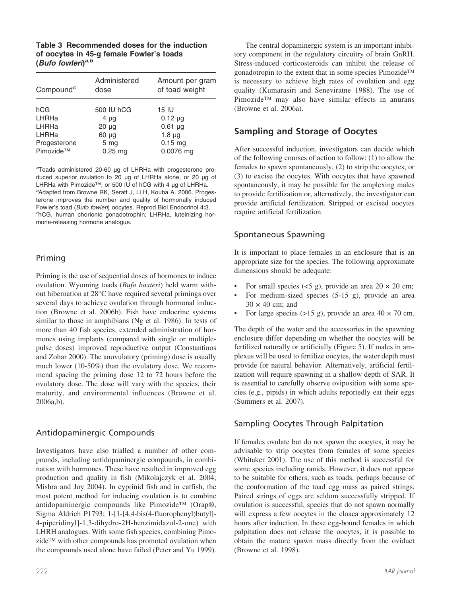| Table 3 Recommended doses for the induction |
|---------------------------------------------|
| of oocytes in 45-g female Fowler's toads    |
| (Bufo fowleri) <sup>a,b</sup>               |

| Compound <sup><math>c</math></sup> | Administered<br>dose | Amount per gram<br>of toad weight |
|------------------------------------|----------------------|-----------------------------------|
| hCG                                | 500 IU hCG           | 15 IU                             |
| LHRHa                              | $4 \mu$ g            | $0.12 \mu$ g                      |
| LHRHa                              | 20 µg                | $0.61$ µg                         |
| LHRHa                              | $60 \mu$ g           | $1.8 \mu$ g                       |
| Progesterone                       | 5 <sub>mg</sub>      | $0.15$ mg                         |
| Pimozide™                          | $0.25$ ma            | 0.0076 mg                         |

*a* Toads administered 20-60 µg of LHRHa with progesterone produced superior ovulation to 20 µg of LHRHa alone, or 20 µg of LHRHa with Pimozide™, or 500 IU of hCG with 4 µg of LHRHa. *b* Adapted from Browne RK, Seratt J, Li H, Kouba A. 2006. Progesterone improves the number and quality of hormonally induced Fowler's toad (*Bufo fowleri*) oocytes. Reprod Biol Endocrinol 4:3. *c* hCG, human chorionic gonadotrophin; LHRHa, luteinizing hormone-releasing hormone analogue.

### Priming

Priming is the use of sequential doses of hormones to induce ovulation. Wyoming toads (*Bufo baxteri*) held warm without hibernation at 28°C have required several primings over several days to achieve ovulation through hormonal induction (Browne et al. 2006b). Fish have endocrine systems similar to those in amphibians (Ng et al. 1986). In tests of more than 40 fish species, extended administration of hormones using implants (compared with single or multiplepulse doses) improved reproductive output (Constantinos and Zohar 2000). The anovulatory (priming) dose is usually much lower (10-50%) than the ovulatory dose. We recommend spacing the priming dose 12 to 72 hours before the ovulatory dose. The dose will vary with the species, their maturity, and environmental influences (Browne et al. 2006a,b).

### Antidopaminergic Compounds

Investigators have also trialled a number of other compounds, including antidopaminergic compounds, in combination with hormones. These have resulted in improved egg production and quality in fish (Mikolajczyk et al. 2004; Mishra and Joy 2004). In cyprinid fish and in catfish, the most potent method for inducing ovulation is to combine antidopaminergic compounds like Pimozide™ (Orap®, Sigma Aldrich P1793; 1-[1-[4,4-bis(4-fluorophenyl)butyl]- 4-piperidinyl]-1,3-dihydro-2H-benzimidazol-2-one) with LHRH analogues. With some fish species, combining Pimozide™ with other compounds has promoted ovulation when the compounds used alone have failed (Peter and Yu 1999).

The central dopaminergic system is an important inhibitory component in the regulatory circuitry of brain GnRH. Stress-induced corticosteroids can inhibit the release of gonadotropin to the extent that in some species Pimozide™ is necessary to achieve high rates of ovulation and egg quality (Kumarasiri and Seneviratne 1988). The use of Pimozide™ may also have similar effects in anurans (Browne et al. 2006a).

# **Sampling and Storage of Oocytes**

After successful induction, investigators can decide which of the following courses of action to follow: (1) to allow the females to spawn spontaneously, (2) to strip the oocytes, or (3) to excise the oocytes. With oocytes that have spawned spontaneously, it may be possible for the amplexing males to provide fertilization or, alternatively, the investigator can provide artificial fertilization. Stripped or excised oocytes require artificial fertilization.

### Spontaneous Spawning

It is important to place females in an enclosure that is an appropriate size for the species. The following approximate dimensions should be adequate:

- For small species  $(<5 g)$ , provide an area  $20 \times 20 cm$ ;
- For medium-sized species  $(5-15 \text{ g})$ , provide an area  $30 \times 40$  cm; and
- For large species ( $>15$  g), provide an area  $40 \times 70$  cm.

The depth of the water and the accessories in the spawning enclosure differ depending on whether the oocytes will be fertilized naturally or artificially (Figure 5). If males in amplexus will be used to fertilize oocytes, the water depth must provide for natural behavior. Alternatively, artificial fertilization will require spawning in a shallow depth of SAR. It is essential to carefully observe oviposition with some species (e.g., pipids) in which adults reportedly eat their eggs (Summers et al. 2007).

### Sampling Oocytes Through Palpitation

If females ovulate but do not spawn the oocytes, it may be advisable to strip oocytes from females of some species (Whitaker 2001). The use of this method is successful for some species including ranids. However, it does not appear to be suitable for others, such as toads, perhaps because of the conformation of the toad egg mass as paired strings. Paired strings of eggs are seldom successfully stripped. If ovulation is successful, species that do not spawn normally will express a few oocytes in the cloaca approximately 12 hours after induction. In these egg-bound females in which palpitation does not release the oocytes, it is possible to obtain the mature spawn mass directly from the oviduct (Browne et al. 1998).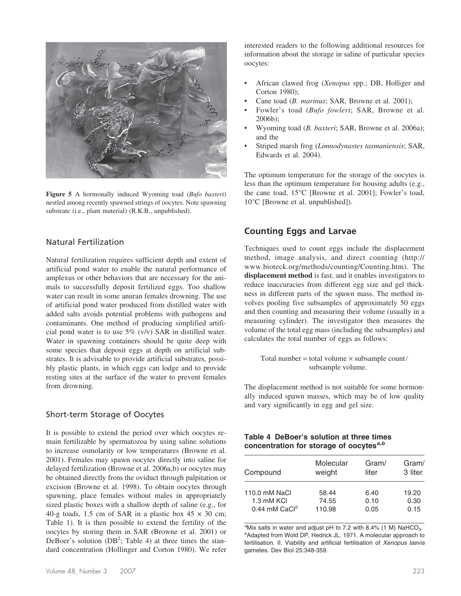

**Figure 5** A hormonally induced Wyoming toad (*Bufo baxteri*) nestled among recently spawned strings of oocytes. Note spawning substrate (i.e., plant material) (R.K.B., unpublished).

#### Natural Fertilization

Natural fertilization requires sufficient depth and extent of artificial pond water to enable the natural performance of amplexus or other behaviors that are necessary for the animals to successfully deposit fertilized eggs. Too shallow water can result in some anuran females drowning. The use of artificial pond water produced from distilled water with added salts avoids potential problems with pathogens and contaminants. One method of producing simplified artificial pond water is to use 5% (v/v) SAR in distilled water. Water in spawning containers should be quite deep with some species that deposit eggs at depth on artificial substrates. It is advisable to provide artificial substrates, possibly plastic plants, in which eggs can lodge and to provide resting sites at the surface of the water to prevent females from drowning.

#### Short-term Storage of Oocytes

It is possible to extend the period over which oocytes remain fertilizable by spermatozoa by using saline solutions to increase osmolarity or low temperatures (Browne et al. 2001). Females may spawn oocytes directly into saline for delayed fertilization (Browne et al. 2006a,b) or oocytes may be obtained directly from the oviduct through palpitation or excision (Browne et al. 1998). To obtain oocytes through spawning, place females without males in appropriately sized plastic boxes with a shallow depth of saline (e.g., for 40-g toads, 1.5 cm of SAR in a plastic box  $45 \times 30$  cm; Table 1). It is then possible to extend the fertility of the oocytes by storing them in SAR (Browne et al. 2001) or DeBoer's solution  $(DB^2$ ; Table 4) at three times the standard concentration (Hollinger and Corton 1980). We refer

interested readers to the following additional resources for information about the storage in saline of particular species oocytes:

- African clawed frog (*Xenopus* spp.; DB, Holliger and Corton 1980);
- Cane toad (*B. marinus*; SAR, Browne et al. 2001);
- Fowler's toad (*Bufo fowleri*; SAR, Browne et al. 2006b);
- Wyoming toad (*B. baxteri*; SAR, Browne et al. 2006a); and the
- Striped marsh frog (*Limnodynastes tasmaniensis*; SAR, Edwards et al. 2004).

The optimum temperature for the storage of the oocytes is less than the optimum temperature for housing adults (e.g., the cane toad, 15°C [Browne et al. 2001]; Fowler's toad, 10°C [Browne et al. unpublished]).

### **Counting Eggs and Larvae**

Techniques used to count eggs include the displacement method, image analysis, and direct counting (http:// www.bioteck.org/methods/counting/Counting.htm). The **displacement method** is fast, and it enables investigators to reduce inaccuracies from different egg size and gel thickness in different parts of the spawn mass. The method involves pooling five subsamples of approximately 50 eggs and then counting and measuring their volume (usually in a measuring cylinder). The investigator then measures the volume of the total egg mass (including the subsamples) and calculates the total number of eggs as follows:

Total number = total volume  $\times$  subsample count/ subsample volume.

The displacement method is not suitable for some hormonally induced spawn masses, which may be of low quality and vary significantly in egg and gel size.

#### **Table 4 DeBoer's solution at three times concentration for storage of oocytes***a,b*

| Compound                    | Molecular<br>weight | Gram/<br>liter | Gram/<br>3 liter |
|-----------------------------|---------------------|----------------|------------------|
| 110.0 mM NaCl               | 58.44               | 6.40           | 19.20            |
| 1.3 mM KCI                  | 74.55               | 0.10           | 0.30             |
| $0.44$ mM CaCl <sup>2</sup> | 110.98              | 0.05           | 0.15             |

<sup>a</sup>Mix salts in water and adjust pH to 7.2 with 8.4% (1 M) NaHCO<sub>3</sub>.<br>*b*Adapted from Wold DP, Hedrick II, 1971, A molecular approach to Adapted from Wold DP, Hedrick JL. 1971. A molecular approach to fertilisation. II. Viability and artificial fertilisation of *Xenopus laevis* gametes. Dev Biol 25:348-359.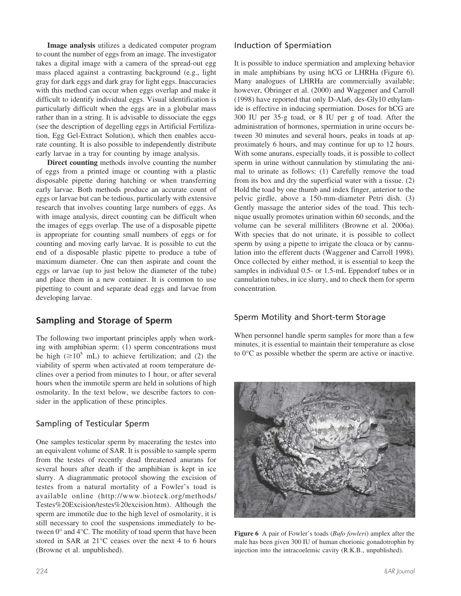**Image analysis** utilizes a dedicated computer program to count the number of eggs from an image. The investigator takes a digital image with a camera of the spread-out egg mass placed against a contrasting background (e.g., light gray for dark eggs and dark gray for light eggs. Inaccuracies with this method can occur when eggs overlap and make it difficult to identify individual eggs. Visual identification is particularly difficult when the eggs are in a globular mass rather than in a string. It is advisable to dissociate the eggs (see the description of degelling eggs in Artificial Fertilization, Egg Gel-Extract Solution), which then enables accurate counting. It is also possible to independently distribute early larvae in a tray for counting by image analysis.

**Direct counting** methods involve counting the number of eggs from a printed image or counting with a plastic disposable pipette during hatching or when transferring early larvae. Both methods produce an accurate count of eggs or larvae but can be tedious, particularly with extensive research that involves counting large numbers of eggs. As with image analysis, direct counting can be difficult when the images of eggs overlap. The use of a disposable pipette is appropriate for counting small numbers of eggs or for counting and moving early larvae. It is possible to cut the end of a disposable plastic pipette to produce a tube of maximum diameter. One can then aspirate and count the eggs or larvae (up to just below the diameter of the tube) and place them in a new container. It is common to use pipetting to count and separate dead eggs and larvae from developing larvae.

### **Sampling and Storage of Sperm**

The following two important principles apply when working with amphibian sperm: (1) sperm concentrations must be high  $(\geq 10^5 \text{ mL})$  to achieve fertilization; and (2) the viability of sperm when activated at room temperature declines over a period from minutes to 1 hour, or after several hours when the immotile sperm are held in solutions of high osmolarity. In the text below, we describe factors to consider in the application of these principles.

#### Sampling of Testicular Sperm

One samples testicular sperm by macerating the testes into an equivalent volume of SAR. It is possible to sample sperm from the testes of recently dead threatened anurans for several hours after death if the amphibian is kept in ice slurry. A diagrammatic protocol showing the excision of testes from a natural mortality of a Fowler's toad is available online (http://www.bioteck.org/methods/ Testes%20Excision/testes%20excision.htm). Although the sperm are immotile due to the high level of osmolarity, it is still necessary to cool the suspensions immediately to between 0° and 4°C. The motility of toad sperm that have been stored in SAR at 21°C ceases over the next 4 to 6 hours (Browne et al. unpublished).

#### Induction of Spermiation

It is possible to induce spermiation and amplexing behavior in male amphibians by using hCG or LHRHa (Figure 6). Many analogues of LHRHa are commercially available; however, Obringer et al. (2000) and Waggener and Carroll (1998) have reported that only D-Ala6, des-Gly10 ethylamide is effective in inducing spermiation. Doses for hCG are 300 IU per 35-g toad, or 8 IU per g of toad. After the administration of hormones, spermiation in urine occurs between 30 minutes and several hours, peaks in toads at approximately 6 hours, and may continue for up to 12 hours. With some anurans, especially toads, it is possible to collect sperm in urine without cannulation by stimulating the animal to urinate as follows: (1) Carefully remove the toad from its box and dry the superficial water with a tissue. (2) Hold the toad by one thumb and index finger, anterior to the pelvic girdle, above a 150-mm-diameter Petri dish. (3) Gently massage the anterior sides of the toad. This technique usually promotes urination within 60 seconds, and the volume can be several milliliters (Browne et al. 2006a). With species that do not urinate, it is possible to collect sperm by using a pipette to irrigate the cloaca or by cannulation into the efferent ducts (Waggener and Carroll 1998). Once collected by either method, it is essential to keep the samples in individual 0.5- or 1.5-mL Eppendorf tubes or in cannulation tubes, in ice slurry, and to check them for sperm concentration.

### Sperm Motility and Short-term Storage

When personnel handle sperm samples for more than a few minutes, it is essential to maintain their temperature as close to 0°C as possible whether the sperm are active or inactive.



**Figure 6** A pair of Fowler's toads (*Bufo fowleri*) amplex after the male has been given 300 IU of human chorionic gonadotrophin by injection into the intracoelemic cavity (R.K.B., unpublished).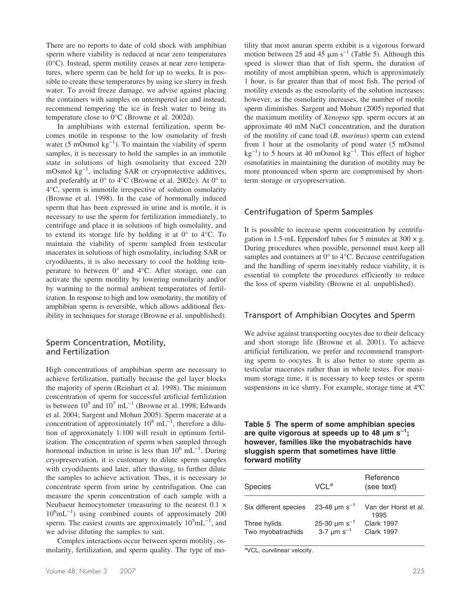There are no reports to date of cold shock with amphibian sperm where viability is reduced at near zero temperatures (0°C). Instead, sperm motility ceases at near zero temperatures, where sperm can be held for up to weeks. It is possible to create these temperatures by using ice slurry in fresh water. To avoid freeze damage, we advise against placing the containers with samples on untempered ice and instead, recommend tempering the ice in fresh water to bring its temperature close to 0°C (Browne et al. 2002d).

In amphibians with external fertilization, sperm becomes motile in response to the low osmolarity of fresh water (5 mOsmol  $kg^{-1}$ ). To maintain the viability of sperm samples, it is necessary to hold the samples in an immotile state in solutions of high osmolarity that exceed 220 mOsmol kg<sup>-1</sup>, including SAR or cryoprotective additives, and preferably at  $0^{\circ}$  to  $4^{\circ}$ C (Browne et al. 2002c). At  $0^{\circ}$  to 4°C, sperm is immotile irrespective of solution osmolarity (Browne et al. 1998). In the case of hormonally induced sperm that has been expressed in urine and is motile, it is necessary to use the sperm for fertilization immediately, to centrifuge and place it in solutions of high osmolality, and to extend its storage life by holding it at  $0^{\circ}$  to  $4^{\circ}$ C. To maintain the viability of sperm sampled from testicular macerates in solutions of high osmolality, including SAR or cryodiluents, it is also necessary to cool the holding temperature to between 0° and 4°C. After storage, one can activate the sperm motility by lowering osmolarity and/or by warming to the normal ambient temperatures of fertilization. In response to high and low osmolarity, the motility of amphibian sperm is reversible, which allows additional flexibility in techniques for storage (Browne et al. unpublished).

#### Sperm Concentration, Motility, and Fertilization

High concentrations of amphibian sperm are necessary to achieve fertilization, partially because the gel layer blocks the majority of sperm (Reinhart et al. 1998). The minimum concentration of sperm for successful artificial fertilization is between  $10^5$  and  $10^7$  mL<sup>-1</sup> (Browne et al. 1998; Edwards et al. 2004; Sargent and Mohun 2005). Sperm macerate at a concentration of approximately  $10^8$  mL<sup>-1</sup>, therefore a dilution of approximately 1:100 will result in optimum fertilization. The concentration of sperm when sampled through hormonal induction in urine is less than  $10^6$  mL<sup>-1</sup>. During cryopreservation, it is customary to dilute sperm samples with cryodiluents and later, after thawing, to further dilute the samples to achieve activation. Thus, it is necessary to concentrate sperm from urine by centrifugation. One can measure the sperm concentration of each sample with a Neubaeur hemocytometer (measuring to the nearest  $0.1 \times$ 10<sup>6</sup> mL−1) using combined counts of approximately 200 sperm. The easiest counts are approximately  $10<sup>5</sup> mL<sup>-1</sup>$ , and we advise diluting the samples to suit.

Complex interactions occur between sperm motility, osmolarity, fertilization, and sperm quality. The type of motility that most anuran sperm exhibit is a vigorous forward motion between 25 and 45  $\mu$ m s<sup>-1</sup> (Table 5). Although this speed is slower than that of fish sperm, the duration of motility of most amphibian sperm, which is approximately 1 hour, is far greater than that of most fish. The period of motility extends as the osmolarity of the solution increases; however, as the osmolarity increases, the number of motile sperm diminishes. Sargent and Mohun (2005) reported that the maximum motility of *Xenopus* spp. sperm occurs at an approximate 40 mM NaCl concentration, and the duration of the motility of cane toad (*B. marinus*) sperm can extend from 1 hour at the osmolarity of pond water (5 mOsmol  $kg^{-1}$ ) to 5 hours at 40 mOsmol  $kg^{-1}$ . This effect of higher osmolatities in maintaining the duration of motility may be more pronounced when sperm are compromised by shortterm storage or cryopreservation.

### Centrifugation of Sperm Samples

It is possible to increase sperm concentration by centrifugation in 1.5-mL Eppendorf tubes for 5 minutes at  $300 \times g$ . During procedures when possible, personnel must keep all samples and containers at  $0^{\circ}$  to 4°C. Because centrifugation and the handling of sperm inevitably reduce viability, it is essential to complete the procedures efficiently to reduce the loss of sperm viability (Browne et al. unpublished).

### Transport of Amphibian Oocytes and Sperm

We advise against transporting oocytes due to their delicacy and short storage life (Browne et al. 2001). To achieve artificial fertilization, we prefer and recommend transporting sperm to oocytes. It is also better to store sperm as testicular macerates rather than in whole testes. For maximum storage time, it is necessary to keep testes or sperm suspensions in ice slurry. For example, storage time at 4ºC

**Table 5 The sperm of some amphibian species are quite vigorous at speeds up to 48 µm s−1; however, families like the myobatrachids have sluggish sperm that sometimes have little forward motility**

| <b>Species</b>                    | $VCL^a$                                                      | Reference<br>(see text)                |
|-----------------------------------|--------------------------------------------------------------|----------------------------------------|
| Six different species             | 23-48 $\mu$ m s <sup>-1</sup>                                | Van der Horst et al.<br>1995           |
| Three hylids<br>Two myobatrachids | 25-30 $\mu$ m s <sup>-1</sup><br>3-7 $\mu$ m s <sup>-1</sup> | <b>Clark 1997</b><br><b>Clark 1997</b> |

*a* VCL, curvilinear velocity.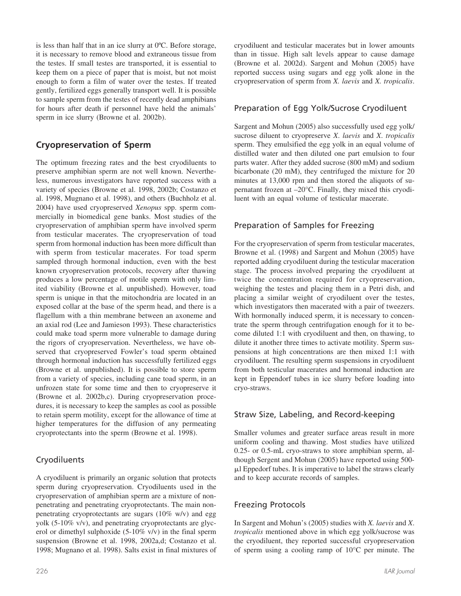is less than half that in an ice slurry at 0ºC. Before storage, it is necessary to remove blood and extraneous tissue from the testes. If small testes are transported, it is essential to keep them on a piece of paper that is moist, but not moist enough to form a film of water over the testes. If treated gently, fertilized eggs generally transport well. It is possible to sample sperm from the testes of recently dead amphibians for hours after death if personnel have held the animals' sperm in ice slurry (Browne et al. 2002b).

# **Cryopreservation of Sperm**

The optimum freezing rates and the best cryodiluents to preserve amphibian sperm are not well known. Nevertheless, numerous investigators have reported success with a variety of species (Browne et al. 1998, 2002b; Costanzo et al. 1998, Mugnano et al. 1998), and others (Buchholz et al. 2004) have used cryopreserved *Xenopus* spp. sperm commercially in biomedical gene banks. Most studies of the cryopreservation of amphibian sperm have involved sperm from testicular macerates. The cryopreservation of toad sperm from hormonal induction has been more difficult than with sperm from testicular macerates. For toad sperm sampled through hormonal induction, even with the best known cryopreservation protocols, recovery after thawing produces a low percentage of motile sperm with only limited viability (Browne et al. unpublished). However, toad sperm is unique in that the mitochondria are located in an exposed collar at the base of the sperm head, and there is a flagellum with a thin membrane between an axoneme and an axial rod (Lee and Jamieson 1993). These characteristics could make toad sperm more vulnerable to damage during the rigors of cryopreservation. Nevertheless, we have observed that cryopreserved Fowler's toad sperm obtained through hormonal induction has successfully fertilized eggs (Browne et al. unpublished). It is possible to store sperm from a variety of species, including cane toad sperm, in an unfrozen state for some time and then to cryopreserve it (Browne et al. 2002b,c). During cryopreservation procedures, it is necessary to keep the samples as cool as possible to retain sperm motility, except for the allowance of time at higher temperatures for the diffusion of any permeating cryoprotectants into the sperm (Browne et al. 1998).

# Cryodiluents

A cryodiluent is primarily an organic solution that protects sperm during cryopreservation. Cryodiluents used in the cryopreservation of amphibian sperm are a mixture of nonpenetrating and penetrating cryoprotectants. The main nonpenetrating cryoprotectants are sugars  $(10\% \text{ w/v})$  and egg yolk (5-10% v/v), and penetrating cryoprotectants are glycerol or dimethyl sulphoxide (5-10% v/v) in the final sperm suspension (Browne et al. 1998, 2002a,d; Costanzo et al. 1998; Mugnano et al. 1998). Salts exist in final mixtures of cryodiluent and testicular macerates but in lower amounts than in tissue. High salt levels appear to cause damage (Browne et al. 2002d). Sargent and Mohun (2005) have reported success using sugars and egg yolk alone in the cryopreservation of sperm from *X. laevis* and *X. tropicalis*.

### Preparation of Egg Yolk/Sucrose Cryodiluent

Sargent and Mohun (2005) also successfully used egg yolk/ sucrose diluent to cryopreserve *X*. *laevis* and *X*. *tropicalis* sperm. They emulsified the egg yolk in an equal volume of distilled water and then diluted one part emulsion to four parts water. After they added sucrose (800 mM) and sodium bicarbonate (20 mM), they centrifuged the mixture for 20 minutes at 13,000 rpm and then stored the aliquots of supernatant frozen at –20°C. Finally, they mixed this cryodiluent with an equal volume of testicular macerate.

### Preparation of Samples for Freezing

For the cryopreservation of sperm from testicular macerates, Browne et al. (1998) and Sargent and Mohun (2005) have reported adding cryodiluent during the testicular maceration stage. The process involved preparing the cryodiluent at twice the concentration required for cryopreservation, weighing the testes and placing them in a Petri dish, and placing a similar weight of cryodiluent over the testes, which investigators then macerated with a pair of tweezers. With hormonally induced sperm, it is necessary to concentrate the sperm through centrifugation enough for it to become diluted 1:1 with cryodiluent and then, on thawing, to dilute it another three times to activate motility. Sperm suspensions at high concentrations are then mixed 1:1 with cryodiluent. The resulting sperm suspensions in cryodiluent from both testicular macerates and hormonal induction are kept in Eppendorf tubes in ice slurry before loading into cryo-straws.

### Straw Size, Labeling, and Record-keeping

Smaller volumes and greater surface areas result in more uniform cooling and thawing. Most studies have utilized 0.25- or 0.5-mL cryo-straws to store amphibian sperm, although Sergent and Mohun (2005) have reported using 500-  $\mu$ l Eppedorf tubes. It is imperative to label the straws clearly and to keep accurate records of samples.

### Freezing Protocols

In Sargent and Mohun's (2005) studies with *X. laevis* and *X*. *tropicalis* mentioned above in which egg yolk/sucrose was the cryodiluent, they reported successful cryopreservation of sperm using a cooling ramp of 10°C per minute. The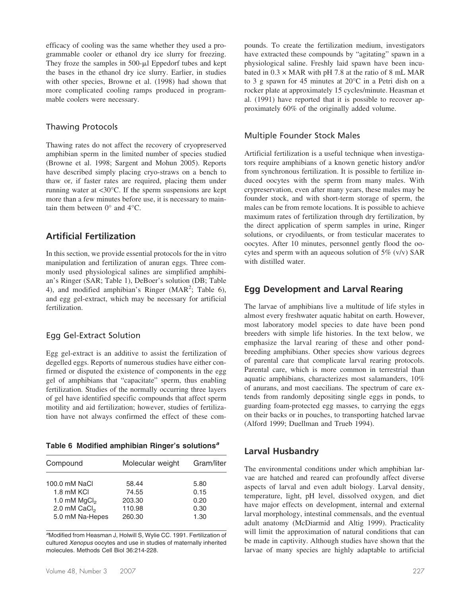efficacy of cooling was the same whether they used a programmable cooler or ethanol dry ice slurry for freezing. They froze the samples in  $500$ - $\mu$ l Eppedorf tubes and kept the bases in the ethanol dry ice slurry. Earlier, in studies with other species, Browne et al. (1998) had shown that more complicated cooling ramps produced in programmable coolers were necessary.

#### Thawing Protocols

Thawing rates do not affect the recovery of cryopreserved amphibian sperm in the limited number of species studied (Browne et al. 1998; Sargent and Mohun 2005). Reports have described simply placing cryo-straws on a bench to thaw or, if faster rates are required, placing them under running water at <30°C. If the sperm suspensions are kept more than a few minutes before use, it is necessary to maintain them between 0° and 4°C.

# **Artificial Fertilization**

In this section, we provide essential protocols for the in vitro manipulation and fertilization of anuran eggs. Three commonly used physiological salines are simplified amphibian's Ringer (SAR; Table 1), DeBoer's solution (DB; Table 4), and modified amphibian's Ringer ( $\text{MAR}^2$ ; Table 6), and egg gel-extract, which may be necessary for artificial fertilization.

#### Egg Gel-Extract Solution

Egg gel-extract is an additive to assist the fertilization of degelled eggs. Reports of numerous studies have either confirmed or disputed the existence of components in the egg gel of amphibians that "capacitate" sperm, thus enabling fertilization. Studies of the normally occurring three layers of gel have identified specific compounds that affect sperm motility and aid fertilization; however, studies of fertilization have not always confirmed the effect of these com-

**Table 6 Modified amphibian Ringer's solutions***<sup>a</sup>*

| Compound                 | Molecular weight | Gram/liter |
|--------------------------|------------------|------------|
| 100.0 mM NaCl            | 58.44            | 5.80       |
| 1.8 mM KCI               | 74.55            | 0.15       |
| 1.0 mM $MgCl2$           | 203.30           | 0.20       |
| 2.0 mM CaCl <sub>2</sub> | 110.98           | 0.30       |
| 5.0 mM Na-Hepes          | 260.30           | 1.30       |
|                          |                  |            |

*a* Modified from Heasman J, Holwill S, Wylie CC. 1991. Fertilization of cultured *Xenopus* oocytes and use in studies of maternally inherited molecules. Methods Cell Biol 36:214-228.

pounds. To create the fertilization medium, investigators have extracted these compounds by "agitating" spawn in a physiological saline. Freshly laid spawn have been incubated in  $0.3 \times$  MAR with pH 7.8 at the ratio of 8 mL MAR to 3 g spawn for 45 minutes at 20°C in a Petri dish on a rocker plate at approximately 15 cycles/minute. Heasman et al. (1991) have reported that it is possible to recover approximately 60% of the originally added volume.

#### Multiple Founder Stock Males

Artificial fertilization is a useful technique when investigators require amphibians of a known genetic history and/or from synchronous fertilization. It is possible to fertilize induced oocytes with the sperm from many males. With crypreservation, even after many years, these males may be founder stock, and with short-term storage of sperm, the males can be from remote locations. It is possible to achieve maximum rates of fertilization through dry fertilization, by the direct application of sperm samples in urine, Ringer solutions, or cryodiluents, or from testicular macerates to oocytes. After 10 minutes, personnel gently flood the oocytes and sperm with an aqueous solution of 5% (v/v) SAR with distilled water.

### **Egg Development and Larval Rearing**

The larvae of amphibians live a multitude of life styles in almost every freshwater aquatic habitat on earth. However, most laboratory model species to date have been pond breeders with simple life histories. In the text below, we emphasize the larval rearing of these and other pondbreeding amphibians. Other species show various degrees of parental care that complicate larval rearing protocols. Parental care, which is more common in terrestrial than aquatic amphibians, characterizes most salamanders, 10% of anurans, and most caecilians. The spectrum of care extends from randomly depositing single eggs in ponds, to guarding foam-protected egg masses, to carrying the eggs on their backs or in pouches, to transporting hatched larvae (Alford 1999; Duellman and Trueb 1994).

#### **Larval Husbandry**

The environmental conditions under which amphibian larvae are hatched and reared can profoundly affect diverse aspects of larval and even adult biology. Larval density, temperature, light, pH level, dissolved oxygen, and diet have major effects on development, internal and external larval morphology, intestinal commensals, and the eventual adult anatomy (McDiarmid and Altig 1999). Practicality will limit the approximation of natural conditions that can be made in captivity. Although studies have shown that the larvae of many species are highly adaptable to artificial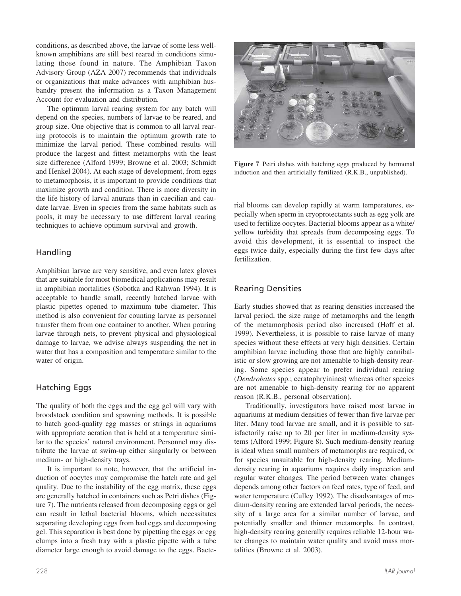conditions, as described above, the larvae of some less wellknown amphibians are still best reared in conditions simulating those found in nature. The Amphibian Taxon Advisory Group (AZA 2007) recommends that individuals or organizations that make advances with amphibian husbandry present the information as a Taxon Management Account for evaluation and distribution.

The optimum larval rearing system for any batch will depend on the species, numbers of larvae to be reared, and group size. One objective that is common to all larval rearing protocols is to maintain the optimum growth rate to minimize the larval period. These combined results will produce the largest and fittest metamorphs with the least size difference (Alford 1999; Browne et al. 2003; Schmidt and Henkel 2004). At each stage of development, from eggs to metamorphosis, it is important to provide conditions that maximize growth and condition. There is more diversity in the life history of larval anurans than in caecilian and caudate larvae. Even in species from the same habitats such as pools, it may be necessary to use different larval rearing techniques to achieve optimum survival and growth.

### Handling

Amphibian larvae are very sensitive, and even latex gloves that are suitable for most biomedical applications may result in amphibian mortalities (Sobotka and Rahwan 1994). It is acceptable to handle small, recently hatched larvae with plastic pipettes opened to maximum tube diameter. This method is also convenient for counting larvae as personnel transfer them from one container to another. When pouring larvae through nets, to prevent physical and physiological damage to larvae, we advise always suspending the net in water that has a composition and temperature similar to the water of origin.

### Hatching Eggs

The quality of both the eggs and the egg gel will vary with broodstock condition and spawning methods. It is possible to hatch good-quality egg masses or strings in aquariums with appropriate aeration that is held at a temperature similar to the species' natural environment. Personnel may distribute the larvae at swim-up either singularly or between medium- or high-density trays.

It is important to note, however, that the artificial induction of oocytes may compromise the hatch rate and gel quality. Due to the instability of the egg matrix, these eggs are generally hatched in containers such as Petri dishes (Figure 7). The nutrients released from decomposing eggs or gel can result in lethal bacterial blooms, which necessitates separating developing eggs from bad eggs and decomposing gel. This separation is best done by pipetting the eggs or egg clumps into a fresh tray with a plastic pipette with a tube diameter large enough to avoid damage to the eggs. Bacte-



**Figure 7** Petri dishes with hatching eggs produced by hormonal induction and then artificially fertilized (R.K.B., unpublished).

rial blooms can develop rapidly at warm temperatures, especially when sperm in cryoprotectants such as egg yolk are used to fertilize oocytes. Bacterial blooms appear as a white/ yellow turbidity that spreads from decomposing eggs. To avoid this development, it is essential to inspect the eggs twice daily, especially during the first few days after fertilization.

# Rearing Densities

Early studies showed that as rearing densities increased the larval period, the size range of metamorphs and the length of the metamorphosis period also increased (Hoff et al. 1999). Nevertheless, it is possible to raise larvae of many species without these effects at very high densities. Certain amphibian larvae including those that are highly cannibalistic or slow growing are not amenable to high-density rearing. Some species appear to prefer individual rearing (*Dendrobates* spp.; ceratophryinines) whereas other species are not amenable to high-density rearing for no apparent reason (R.K.B., personal observation).

Traditionally, investigators have raised most larvae in aquariums at medium densities of fewer than five larvae per liter. Many toad larvae are small, and it is possible to satisfactorily raise up to 20 per liter in medium-density systems (Alford 1999; Figure 8). Such medium-density rearing is ideal when small numbers of metamorphs are required, or for species unsuitable for high-density rearing. Mediumdensity rearing in aquariums requires daily inspection and regular water changes. The period between water changes depends among other factors on feed rates, type of feed, and water temperature (Culley 1992). The disadvantages of medium-density rearing are extended larval periods, the necessity of a large area for a similar number of larvae, and potentially smaller and thinner metamorphs. In contrast, high-density rearing generally requires reliable 12-hour water changes to maintain water quality and avoid mass mortalities (Browne et al. 2003).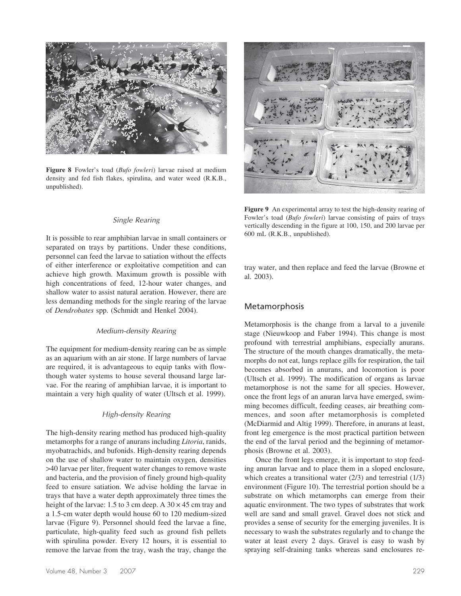

**Figure 8** Fowler's toad (*Bufo fowleri*) larvae raised at medium density and fed fish flakes, spirulina, and water weed (R.K.B., unpublished).

#### *Single Rearing*

It is possible to rear amphibian larvae in small containers or separated on trays by partitions. Under these conditions, personnel can feed the larvae to satiation without the effects of either interference or exploitative competition and can achieve high growth. Maximum growth is possible with high concentrations of feed, 12-hour water changes, and shallow water to assist natural aeration. However, there are less demanding methods for the single rearing of the larvae of *Dendrobates* spp. (Schmidt and Henkel 2004).

#### *Medium-density Rearing*

The equipment for medium-density rearing can be as simple as an aquarium with an air stone. If large numbers of larvae are required, it is advantageous to equip tanks with flowthough water systems to house several thousand large larvae. For the rearing of amphibian larvae, it is important to maintain a very high quality of water (Ultsch et al. 1999).

#### *High-density Rearing*

The high-density rearing method has produced high-quality metamorphs for a range of anurans including *Litoria*, ranids, myobatrachids, and bufonids. High-density rearing depends on the use of shallow water to maintain oxygen, densities >40 larvae per liter, frequent water changes to remove waste and bacteria, and the provision of finely ground high-quality feed to ensure satiation. We advise holding the larvae in trays that have a water depth approximately three times the height of the larvae: 1.5 to 3 cm deep. A  $30 \times 45$  cm tray and a 1.5-cm water depth would house 60 to 120 medium-sized larvae (Figure 9). Personnel should feed the larvae a fine, particulate, high-quality feed such as ground fish pellets with spirulina powder. Every 12 hours, it is essential to remove the larvae from the tray, wash the tray, change the



**Figure 9** An experimental array to test the high-density rearing of Fowler's toad (*Bufo fowleri*) larvae consisting of pairs of trays vertically descending in the figure at 100, 150, and 200 larvae per 600 mL (R.K.B., unpublished).

tray water, and then replace and feed the larvae (Browne et al. 2003).

#### Metamorphosis

Metamorphosis is the change from a larval to a juvenile stage (Nieuwkoop and Faber 1994). This change is most profound with terrestrial amphibians, especially anurans. The structure of the mouth changes dramatically, the metamorphs do not eat, lungs replace gills for respiration, the tail becomes absorbed in anurans, and locomotion is poor (Ultsch et al. 1999). The modification of organs as larvae metamorphose is not the same for all species. However, once the front legs of an anuran larva have emerged, swimming becomes difficult, feeding ceases, air breathing commences, and soon after metamorphosis is completed (McDiarmid and Altig 1999). Therefore, in anurans at least, front leg emergence is the most practical partition between the end of the larval period and the beginning of metamorphosis (Browne et al. 2003).

Once the front legs emerge, it is important to stop feeding anuran larvae and to place them in a sloped enclosure, which creates a transitional water (2/3) and terrestrial (1/3) environment (Figure 10). The terrestrial portion should be a substrate on which metamorphs can emerge from their aquatic environment. The two types of substrates that work well are sand and small gravel. Gravel does not stick and provides a sense of security for the emerging juveniles. It is necessary to wash the substrates regularly and to change the water at least every 2 days. Gravel is easy to wash by spraying self-draining tanks whereas sand enclosures re-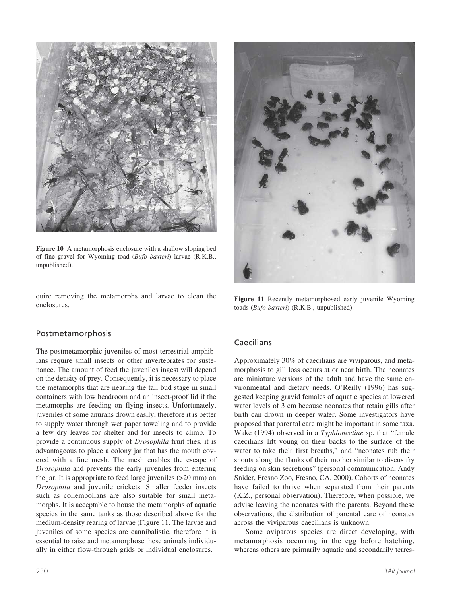

**Figure 10** A metamorphosis enclosure with a shallow sloping bed of fine gravel for Wyoming toad (*Bufo baxteri*) larvae (R.K.B., unpublished).

quire removing the metamorphs and larvae to clean the enclosures.

### Postmetamorphosis

The postmetamorphic juveniles of most terrestrial amphibians require small insects or other invertebrates for sustenance. The amount of feed the juveniles ingest will depend on the density of prey. Consequently, it is necessary to place the metamorphs that are nearing the tail bud stage in small containers with low headroom and an insect-proof lid if the metamorphs are feeding on flying insects. Unfortunately, juveniles of some anurans drown easily, therefore it is better to supply water through wet paper toweling and to provide a few dry leaves for shelter and for insects to climb. To provide a continuous supply of *Drosophila* fruit flies, it is advantageous to place a colony jar that has the mouth covered with a fine mesh. The mesh enables the escape of *Drosophila* and prevents the early juveniles from entering the jar. It is appropriate to feed large juveniles (>20 mm) on *Drosophila* and juvenile crickets. Smaller feeder insects such as collembollans are also suitable for small metamorphs. It is acceptable to house the metamorphs of aquatic species in the same tanks as those described above for the medium-density rearing of larvae (Figure 11. The larvae and juveniles of some species are cannibalistic, therefore it is essential to raise and metamorphose these animals individually in either flow-through grids or individual enclosures.



**Figure 11** Recently metamorphosed early juvenile Wyoming toads (*Bufo baxteri*) (R.K.B., unpublished).

#### Caecilians

Approximately 30% of caecilians are viviparous, and metamorphosis to gill loss occurs at or near birth. The neonates are miniature versions of the adult and have the same environmental and dietary needs. O'Reilly (1996) has suggested keeping gravid females of aquatic species at lowered water levels of 3 cm because neonates that retain gills after birth can drown in deeper water. Some investigators have proposed that parental care might be important in some taxa. Wake (1994) observed in a *Typhlonectine* sp. that "female caecilians lift young on their backs to the surface of the water to take their first breaths," and "neonates rub their snouts along the flanks of their mother similar to discus fry feeding on skin secretions" (personal communication, Andy Snider, Fresno Zoo, Fresno, CA, 2000). Cohorts of neonates have failed to thrive when separated from their parents (K.Z., personal observation). Therefore, when possible, we advise leaving the neonates with the parents. Beyond these observations, the distribution of parental care of neonates across the viviparous caecilians is unknown.

Some oviparous species are direct developing, with metamorphosis occurring in the egg before hatching, whereas others are primarily aquatic and secondarily terres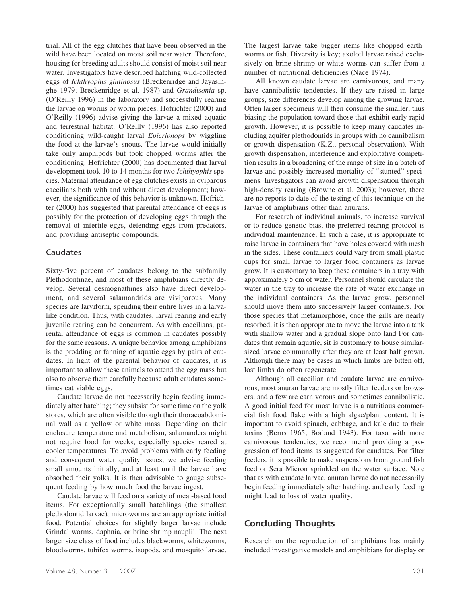trial. All of the egg clutches that have been observed in the wild have been located on moist soil near water. Therefore, housing for breeding adults should consist of moist soil near water. Investigators have described hatching wild-collected eggs of *Ichthyophis glutinosus* (Breckenridge and Jayasinghe 1979; Breckenridge et al. 1987) and *Grandisonia* sp. (O'Reilly 1996) in the laboratory and successfully rearing the larvae on worms or worm pieces. Hofrichter (2000) and O'Reilly (1996) advise giving the larvae a mixed aquatic and terrestrial habitat. O'Reilly (1996) has also reported conditioning wild-caught larval *Epicrionops* by wiggling the food at the larvae's snouts. The larvae would initially take only amphipods but took chopped worms after the conditioning. Hofrichter (2000) has documented that larval development took 10 to 14 months for two *Ichthyophis* species. Maternal attendance of egg clutches exists in oviparous caecilians both with and without direct development; however, the significance of this behavior is unknown. Hofrichter (2000) has suggested that parental attendance of eggs is possibly for the protection of developing eggs through the removal of infertile eggs, defending eggs from predators, and providing antiseptic compounds.

#### Caudates

Sixty-five percent of caudates belong to the subfamily Plethodontinae, and most of these amphibians directly develop. Several desmognathines also have direct development, and several salamandrids are viviparous. Many species are larviform, spending their entire lives in a larvalike condition. Thus, with caudates, larval rearing and early juvenile rearing can be concurrent. As with caecilians, parental attendance of eggs is common in caudates possibly for the same reasons. A unique behavior among amphibians is the prodding or fanning of aquatic eggs by pairs of caudates. In light of the parental behavior of caudates, it is important to allow these animals to attend the egg mass but also to observe them carefully because adult caudates sometimes eat viable eggs.

Caudate larvae do not necessarily begin feeding immediately after hatching; they subsist for some time on the yolk stores, which are often visible through their thoracoabdominal wall as a yellow or white mass. Depending on their enclosure temperature and metabolism, salamanders might not require food for weeks, especially species reared at cooler temperatures. To avoid problems with early feeding and consequent water quality issues, we advise feeding small amounts initially, and at least until the larvae have absorbed their yolks. It is then advisable to gauge subsequent feeding by how much food the larvae ingest.

Caudate larvae will feed on a variety of meat-based food items. For exceptionally small hatchlings (the smallest plethodontid larvae), microworms are an appropriate initial food. Potential choices for slightly larger larvae include Grindal worms, daphnia, or brine shrimp nauplii. The next larger size class of food includes blackworms, whiteworms, bloodworms, tubifex worms, isopods, and mosquito larvae.

The largest larvae take bigger items like chopped earthworms or fish. Diversity is key; axolotl larvae raised exclusively on brine shrimp or white worms can suffer from a number of nutritional deficiencies (Nace 1974).

All known caudate larvae are carnivorous, and many have cannibalistic tendencies. If they are raised in large groups, size differences develop among the growing larvae. Often larger specimens will then consume the smaller, thus biasing the population toward those that exhibit early rapid growth. However, it is possible to keep many caudates including aquifer plethodontids in groups with no cannibalism or growth dispensation (K.Z., personal observation). With growth dispensation, interference and exploitative competition results in a broadening of the range of size in a batch of larvae and possibly increased mortality of "stunted" specimens. Investigators can avoid growth dispensation through high-density rearing (Browne et al. 2003); however, there are no reports to date of the testing of this technique on the larvae of amphibians other than anurans.

For research of individual animals, to increase survival or to reduce genetic bias, the preferred rearing protocol is individual maintenance. In such a case, it is appropriate to raise larvae in containers that have holes covered with mesh in the sides. These containers could vary from small plastic cups for small larvae to larger food containers as larvae grow. It is customary to keep these containers in a tray with approximately 5 cm of water. Personnel should circulate the water in the tray to increase the rate of water exchange in the individual containers. As the larvae grow, personnel should move them into successively larger containers. For those species that metamorphose, once the gills are nearly resorbed, it is then appropriate to move the larvae into a tank with shallow water and a gradual slope onto land For caudates that remain aquatic, sit is customary to house similarsized larvae communally after they are at least half grown. Although there may be cases in which limbs are bitten off, lost limbs do often regenerate.

Although all caecilian and caudate larvae are carnivorous, most anuran larvae are mostly filter feeders or browsers, and a few are carnivorous and sometimes cannibalistic. A good initial feed for most larvae is a nutritious commercial fish food flake with a high algae/plant content. It is important to avoid spinach, cabbage, and kale due to their toxins (Berns 1965; Borland 1943). For taxa with more carnivorous tendencies, we recommend providing a progression of food items as suggested for caudates. For filter feeders, it is possible to make suspensions from ground fish feed or Sera Micron sprinkled on the water surface. Note that as with caudate larvae, anuran larvae do not necessarily begin feeding immediately after hatching, and early feeding might lead to loss of water quality.

# **Concluding Thoughts**

Research on the reproduction of amphibians has mainly included investigative models and amphibians for display or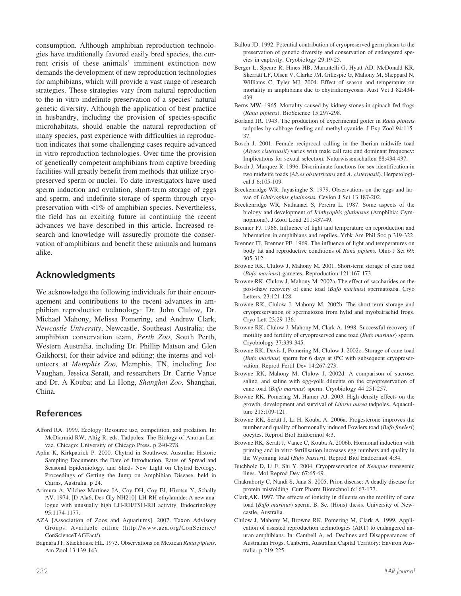consumption. Although amphibian reproduction technologies have traditionally favored easily bred species, the current crisis of these animals' imminent extinction now demands the development of new reproduction technologies for amphibians, which will provide a vast range of research strategies. These strategies vary from natural reproduction to the in vitro indefinite preservation of a species' natural genetic diversity. Although the application of best practice in husbandry, including the provision of species-specific microhabitats, should enable the natural reproduction of many species, past experience with difficulties in reproduction indicates that some challenging cases require advanced in vitro reproduction technologies. Over time the provision of genetically competent amphibians from captive breeding facilities will greatly benefit from methods that utilize cryopreserved sperm or nuclei. To date investigators have used sperm induction and ovulation, short-term storage of eggs and sperm, and indefinite storage of sperm through cryopreservation with <1% of amphibian species. Nevertheless, the field has an exciting future in continuing the recent advances we have described in this article. Increased research and knowledge will assuredly promote the conservation of amphibians and benefit these animals and humans alike.

# **Acknowledgments**

We acknowledge the following individuals for their encouragement and contributions to the recent advances in amphibian reproduction technology: Dr. John Clulow, Dr. Michael Mahony, Melissa Pomering, and Andrew Clark, *Newcastle University*, Newcastle, Southeast Australia; the amphibian conservation team, *Perth Zoo*, South Perth, Western Australia, including Dr. Phillip Matson and Glen Gaikhorst, for their advice and editing; the interns and volunteers at *Memphis Zoo,* Memphis, TN, including Joe Vaughan, Jessica Seratt, and researchers Dr. Carrie Vance and Dr. A Kouba; and Li Hong, *Shanghai Zoo,* Shanghai, China.

# **References**

- Alford RA. 1999. Ecology: Resource use, competition, and predation. In: McDiarmid RW, Altig R, eds. Tadpoles: The Biology of Anuran Larvae. Chicago: University of Chicago Press. p 240-278.
- Aplin K, Kirkpatrick P. 2000. Chytrid in Southwest Australia: Historic Sampling Documents the Date of Introduction, Rates of Spread and Seasonal Epidemiology, and Sheds New Light on Chytrid Ecology. Proceedings of Getting the Jump on Amphibian Disease, held in Cairns, Australia. p 24.
- Arimura A, Vilchez-Martinez JA, Coy DH, Coy EJ, Hirotsu Y, Schally AV. 1974. [D-Ala6, Des-Gly-NH210]-LH-RH-ethylamide: A new analogue with unusually high LH-RH/FSH-RH activity. Endocrinology 95:1174-1177.
- AZA [Association of Zoos and Aquariums]. 2007. Taxon Advisory Groups. Available online (http://www.aza.org/ConScience/ ConScienceTAGFact/).
- Bagnara JT, Stackhouse HL. 1973. Observations on Mexican *Rana pipiens*. Am Zool 13:139-143.
- Ballou JD. 1992. Potential contribution of cryopreserved germ plasm to the preservation of genetic diversity and conservation of endangered species in captivity. Cryobiology 29:19-25.
- Berger L, Speare R, Hines HB, Marantelli G, Hyatt AD, McDonald KR, Skerratt LF, Olsen V, Clarke JM, Gillespie G, Mahony M, Sheppard N, Williams C, Tyler MJ. 2004. Effect of season and temperature on mortality in amphibians due to chytridiomycosis. Aust Vet J 82:434- 439.
- Berns MW. 1965. Mortality caused by kidney stones in spinach-fed frogs (*Rana pipiens*). BioScience 15:297-298.
- Borland JR. 1943. The production of experimental goiter in *Rana pipiens* tadpoles by cabbage feeding and methyl cyanide. J Exp Zool 94:115- 37.
- Bosch J. 2001. Female reciprocal calling in the Iberian midwife toad (*Alytes cisternasii*) varies with male call rate and dominant frequency: Implications for sexual selection. Naturwissenschaften 88:434-437.
- Bosch J, Marquez R. 1996. Discriminate functions for sex identification in two midwife toads (*Alyes obstetricans* and *A*. *cisternasii*). Herpetological J 6:105-109.
- Breckenridge WR, Jayasinghe S. 1979. Observations on the eggs and larvae of *Ichthyophis glutinosus.* Ceylon J Sci 13:187-202.
- Breckenridge WR, Nathanael S, Pereira L. 1987. Some aspects of the biology and development of *Ichthyophis glutinosus* (Amphibia: Gymnophiona). J Zool Lond 211:437-49.
- Brenner FJ. 1966. Influence of light and temperature on reproduction and hibernation in amphibians and reptiles. Yrbk Am Phil Soc p 319-322.
- Brenner FJ, Brenner PE. 1969. The influence of light and temperatures on body fat and reproductive conditions of *Rana pipiens.* Ohio J Sci 69: 305-312.
- Browne RK, Clulow J, Mahony M. 2001. Short-term storage of cane toad (*Bufo marinus*) gametes. Reproduction 121:167-173.
- Browne RK, Clulow J, Mahony M. 2002a. The effect of saccharides on the post-thaw recovery of cane toad (*Bufo marinus*) spermatozoa. Cryo Letters. 23:121-128.
- Browne RK, Clulow J, Mahony M. 2002b. The short-term storage and cryopreservation of spermatozoa from hylid and myobatrachid frogs. Cryo Lett 23:29-136.
- Browne RK, Clulow J, Mahony M, Clark A. 1998. Successful recovery of motility and fertility of cryopreserved cane toad (*Bufo marinus*) sperm. Cryobiology 37:339-345.
- Browne RK, Davis J, Pomering M, Clulow J. 2002c. Storage of cane toad (*Bufo marinus*) sperm for 6 days at 0ºC with subsequent cryopreservation. Reprod Fertil Dev 14:267-273.
- Browne RK, Mahony M, Clulow J. 2002d. A comparison of sucrose, saline, and saline with egg-yolk diluents on the cryopreservation of cane toad (*Bufo marinus*) sperm. Cryobiology 44:251-257.
- Browne RK, Pomering M, Hamer AJ. 2003. High density effects on the growth, development and survival of *Litoria aurea* tadpoles. Aquaculture 215:109-121.
- Browne RK, Seratt J, Li H, Kouba A. 2006a. Progesterone improves the number and quality of hormonally induced Fowlers toad (*Bufo fowleri*) oocytes. Reprod Biol Endocrinol 4:3.
- Browne RK, Seratt J, Vance C, Kouba A. 2006b. Hormonal induction with priming and in vitro fertilisation increases egg numbers and quality in the Wyoming toad (*Bufo baxteri*). Reprod Biol Endocrinol 4:34.
- Buchholz D, Li F, Shi Y. 2004. Cryopreservation of *Xenopus* transgenic lines. Mol Reprod Dev 67:65-69.
- Chakraborty C, Nandi S, Jana S. 2005. Prion disease: A deadly disease for protein misfolding. Curr Pharm Biotechnol 6:167-177.
- Clark,AK. 1997. The effects of ionicity in diluents on the motility of cane toad (*Bufo marinus*) sperm. B. Sc. (Hons) thesis. University of Newcastle, Australia.
- Clulow J, Mahony M, Browne RK, Pomering M, Clark A. 1999. Application of assisted reproduction technologies (ART) to endangered anuran amphibians. In: Cambell A, ed. Declines and Disappearances of Australian Frogs. Canberra, Australian Capital Territory: Environ Australia. p 219-225.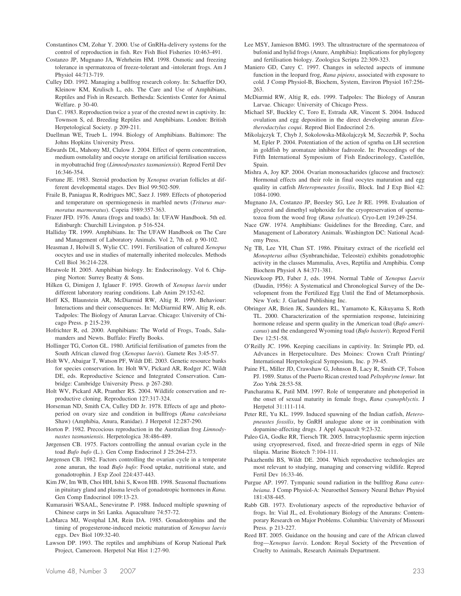- Constantinos CM, Zohar Y. 2000. Use of GnRHa-delivery systems for the control of reproduction in fish. Rev Fish Biol Fisheries 10:463-491.
- Costanzo JP, Mugnano JA, Wehrheim HM. 1998. Osmotic and freezing tolerance in spermatozoa of freeze-tolerant and -intolerant frogs. Am J Physiol 44:713-719.
- Culley DD. 1992. Managing a bullfrog research colony. In: Schaeffer DO, Kleinow KM, Krulisch L, eds. The Care and Use of Amphibians, Reptiles and Fish in Research. Bethesda: Scientists Center for Animal Welfare. p 30-40.
- Dan C. 1983. Reproduction twice a year of the crested newt in captivity. In: Townson S, ed. Breeding Reptiles and Amphibians. London: British Herpetological Society. p 209-211.
- Duellman WE, Trueb L. 1994. Biology of Amphibians. Baltimore: The Johns Hopkins University Press.
- Edwards DL, Mahony MJ, Clulow J. 2004. Effect of sperm concentration, medium osmolality and oocyte storage on artificial fertilisation success in myobatrachid frog (*Limnodynastes tasmaniensis*). Reprod Fertil Dev 16:346-354.
- Fortune JE. 1983. Steroid production by *Xenopus* ovarian follicles at different developmental stages. Dev Biol 99:502-509.
- Fraile B, Paniagua R, Rodrigues MC, Saez J. 1989. Effects of photoperiod and temperature on spermiogenesis in marbled newts (*Triturus marmoratus marmoratus*). Copeia 1989:357-363.
- Frazer JFD. 1976. Anura (frogs and toads). In: UFAW Handbook. 5th ed. Edinburgh: Churchill Livingston. p 516-524.
- Halliday TR. 1999. Amphibians. In: The UFAW Handbook on The Care and Management of Laboratory Animals. Vol 2, 7th ed. p 90-102.
- Heasman J, Holwill S, Wylie CC. 1991. Fertilisation of cultured *Xenopus* oocytes and use in studies of maternally inherited molecules. Methods Cell Biol 36:214-228.
- Heatwole H. 2005. Amphibian biology. In: Endocrinology. Vol 6. Chipping Norton: Surrey Beatty & Sons.
- Hilken G, Dimigen J, Iglauer F. 1995. Growth of *Xenopus laevis* under different laboratory rearing conditions. Lab Anim 29:152-62.
- Hoff KS, Blaunstein AR, McDiarmid RW, Altig R. 1999. Behaviour: Interactions and their consequences. In: McDiarmid RW, Altig R, eds. Tadpoles: The Biology of Anuran Larvae. Chicago: University of Chicago Press. p 215-239.
- Hofrichter R, ed. 2000. Amphibians: The World of Frogs, Toads, Salamanders and Newts. Buffalo: Firefly Books.
- Hollinger TG, Corton GL. 1980. Artificial fertilisation of gametes from the South African clawed frog (*Xenopus laevis*). Gamete Res 3:45-57.
- Holt WV, Abaigar T, Watson PF, Wildt DE. 2003. Genetic resource banks for species conservation. In: Holt WV, Pickard AR, Rodger JC, Wildt DE, eds. Reproductive Science and Integrated Conservation. Cambridge: Cambridge University Press. p 267-280.
- Holt WV, Pickard AR, Pranther RS. 2004. Wildlife conservation and reproductive cloning. Reproduction 127:317-324.
- Horseman ND, Smith CA, Culley DD Jr. 1978. Effects of age and photoperiod on ovary size and condition in bullfrogs (*Rana catesbeiana* Shaw) (Amphibia, Anura, Ranidae). J Herpetol 12:287-290.
- Horton P. 1982. Precocious reproduction in the Australian frog *Limnodynastes tasmaniensis*. Herpetologica 38:486-489.
- Jørgensen CB. 1975. Factors controlling the annual ovarian cycle in the toad *Bufo bufo* (L.). Gen Comp Endocrinol J 25:264-273.
- Jørgensen CB. 1982. Factors controlling the ovarian cycle in a temperate zone anuran, the toad *Bufo bufo*: Food uptake, nutritional state, and gonadotrophin. J Exp Zool 224:437-443.
- Kim JW, Im WB, Choi HH, Ishii S, Kwon HB. 1998. Seasonal fluctuations in pituitary gland and plasma levels of gonadotropic hormones in *Rana.* Gen Comp Endocrinol 109:13-23.
- Kumarasiri WSAAL, Seneviratne P. 1988. Induced multiple spawning of Chinese carps in Sri Lanka. Aquaculture 74:57-72.
- LaMarca MJ, Westphal LM, Rein DA. 1985. Gonadotrophins and the timing of progesterone-induced meiotic maturation of *Xenopus laevis* eggs. Dev Biol 109:32-40.
- Lawson DP. 1993. The reptiles and amphibians of Korup National Park Project, Cameroon. Herpetol Nat Hist 1:27-90.

McDiarmid RW, Altig R, eds. 1999. Tadpoles: The Biology of Anuran Larvae. Chicago: University of Chicago Press.

Lee MSY, Jamieson BMG. 1993. The ultrastructure of the spermatozoa of bufonid and hylid frogs (Anure, Amphibia): Implications for phylogeny

and fertilisation biology. Zoologica Scripta 22:309-323. Maniero GD, Carey C. 1997. Changes in selected aspects of immune function in the leopard frog, *Rana pipiens*, associated with exposure to cold. J Comp Physiol-B, Biochem, System, Environ Physiol 167:256-

- Michael SF, Buckley C, Toro E, Estrada AR, Vincent S. 2004. Induced ovulation and egg deposition in the direct developing anuran *Eleutherodactylus coqui*. Reprod Biol Endocrinol 2:6.
- Mikolajczyk T, Chyb J, Sokolowska-Mikolajczyk M, Szczerbik P, Socha M, Epler P. 2004. Potentiation of the action of sgnrha on LH secretion in goldfish by aromataze inhibitor fadrozole. In: Proceedings of the Fifth International Symposium of Fish Endocrinology, Castellón, Spain.
- Mishra A, Joy KP. 2004. Ovarian monosacharides (glucose and fructose): Hormonal effects and their role in final oocytes maturation and egg quality in catfish *Heteropneustes fossilis*, Block. Ind J Exp Biol 42: 1084-1090.
- Mugnano JA, Costanzo JP, Beesley SG, Lee Jr RE. 1998. Evaluation of glycerol and dimethyl sulphoxide for the cryopreservation of spermatozoa from the wood frog (*Rana sylvatica*). Cryo-Lett 19:249-254.
- Nace GW. 1974. Amphibians: Guidelines for the Breeding, Care, and Management of Laboratory Animals. Washington DC: National Academy Press.
- Ng TB, Lee YH, Chan ST. 1986. Pituitary extract of the ricefield eel *Monopterus albus* (Synbranchidae, Teleostei) exhibits gonadotrophic activity in the classes Mammalia, Aves, Reptilia and Amphibia. Comp Biochem Physiol A 84:371-381.
- Nieuwkoop PD, Faber J, eds. 1994. Normal Table of *Xenopus Laevis* (Daudin, 1956): A Systematical and Chronological Survey of the Development from the Fertilized Egg Until the End of Metamorphosis. New York: J. Garland Publishing Inc.
- Obringer AR, Brien JK, Saunders RL, Yamamoto K, Kikuyama S, Roth TL. 2000. Characterization of the spermiation response, luteinizing hormone release and sperm quality in the American toad (*Bufo americanus*) and the endangered Wyoming toad (*Bufo baxteri*). Reprod Fertil Dev 12:51-58.
- O'Reilly JC. 1996. Keeping caecilians in captivity. In: Strimple PD, ed. Advances in Herpetoculture. Des Moines: Crown Craft Printing/ International Herpetological Symposium, Inc. p 39-45.
- Paine FL, Miller JD, Crawshaw G, Johnson B, Lacy R, Smith CF, Tolson PJ. 1989. Status of the Puerto Rican crested toad *Peltophryne lemur*. Int Zoo Yrbk 28:53-58.
- Pancharatna K, Patil MM. 1997. Role of temperature and photoperiod in the onset of sexual maturity in female frogs, *Rana cyanophlyctis*. J Herpetol 31:111-114.
- Peter RE, Yu KL. 1999. Induced spawning of the Indian catfish, *Heteropneustes fossilis*, by GnRH analogue alone or in combination with dopamine-affecting drugs. J Appl Aquacult 9:23-32.
- Paleo GA, Godke RR, Tiersch TR. 2005. Intracytoplasmic sperm injection using cryopreserved, fixed, and freeze-dried sperm in eggs of Nile tilapia. Marine Biotech 7:104-111.
- Pukazhenthi BS, Wildt DE. 2004. Which reproductive technologies are most relevant to studying, managing and conserving wildlife. Reprod Fertil Dev 16:33-46.
- Purgue AP. 1997. Tympanic sound radiation in the bullfrog *Rana catesbeiana*. J Comp Physiol-A: Neuroethol Sensory Neural Behav Physiol 181:438-445.
- Rabb GB. 1973. Evolutionary aspects of the reproductive behavior of frogs. In: Vial JL, ed. Evolutionary Biology of the Anurans: Contemporary Research on Major Problems. Columbia: University of Missouri Press. p 213-227.
- Reed BT. 2005. Guidance on the housing and care of the African clawed frog—*Xenopus laevis*. London: Royal Society of the Prevention of Cruelty to Animals, Research Animals Department.